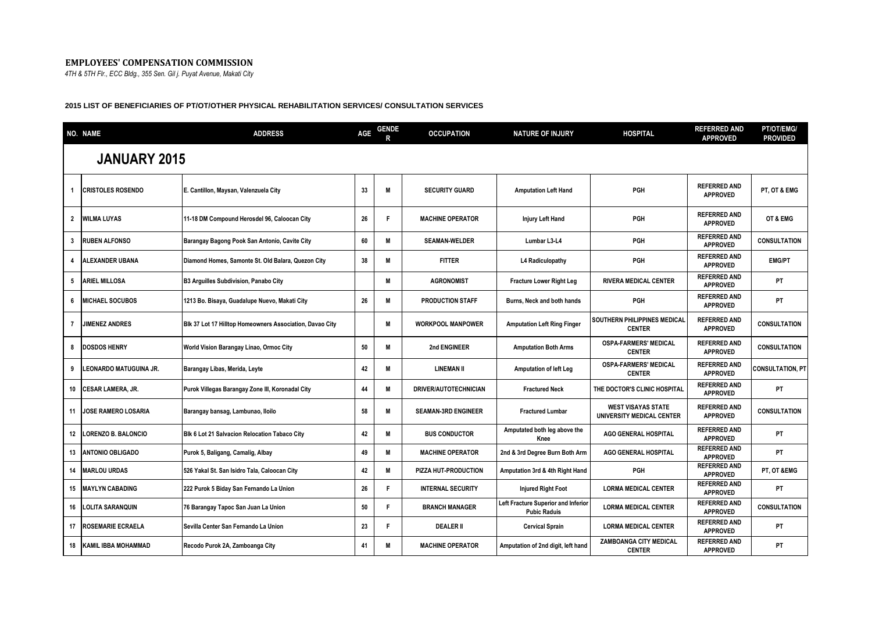## **EMPLOYEES' COMPENSATION COMMISSION**

*4TH & 5TH Flr., ECC Bldg., 355 Sen. Gil j. Puyat Avenue, Makati City*

## **2015 LIST OF BENEFICIARIES OF PT/OT/OTHER PHYSICAL REHABILITATION SERVICES/ CONSULTATION SERVICES**

|                | NO. NAME                      | <b>ADDRESS</b>                                           | AGE | <b>GENDE</b> | <b>OCCUPATION</b>            | <b>NATURE OF INJURY</b>                                    | <b>HOSPITAL</b>                                        | <b>REFERRED AND</b><br><b>APPROVED</b> | PT/OT/EMG/<br><b>PROVIDED</b> |
|----------------|-------------------------------|----------------------------------------------------------|-----|--------------|------------------------------|------------------------------------------------------------|--------------------------------------------------------|----------------------------------------|-------------------------------|
|                | <b>JANUARY 2015</b>           |                                                          |     |              |                              |                                                            |                                                        |                                        |                               |
|                | <b>CRISTOLES ROSENDO</b>      | E. Cantillon, Maysan, Valenzuela City                    | 33  | M            | <b>SECURITY GUARD</b>        | <b>Amputation Left Hand</b>                                | PGH                                                    | <b>REFERRED AND</b><br><b>APPROVED</b> | PT, OT & EMG                  |
| $\overline{2}$ | <b>WILMA LUYAS</b>            | 11-18 DM Compound Herosdel 96, Caloocan City             | 26  | F            | <b>MACHINE OPERATOR</b>      | <b>Injury Left Hand</b>                                    | <b>PGH</b>                                             | <b>REFERRED AND</b><br><b>APPROVED</b> | OT & EMG                      |
| 3              | <b>RUBEN ALFONSO</b>          | Barangay Bagong Pook San Antonio, Cavite City            | 60  | M            | <b>SEAMAN-WELDER</b>         | Lumbar L3-L4                                               | PGH                                                    | <b>REFERRED AND</b><br><b>APPROVED</b> | <b>CONSULTATION</b>           |
| 4              | <b>ALEXANDER UBANA</b>        | Diamond Homes, Samonte St. Old Balara, Quezon City       | 38  | M            | <b>FITTER</b>                | L4 Radiculopathy                                           | PGH                                                    | <b>REFERRED AND</b><br><b>APPROVED</b> | <b>EMG/PT</b>                 |
| 5              | <b>ARIEL MILLOSA</b>          | <b>B3 Arguilles Subdivision, Panabo City</b>             |     | M            | <b>AGRONOMIST</b>            | Fracture Lower Right Leg                                   | <b>RIVERA MEDICAL CENTER</b>                           | <b>REFERRED AND</b><br><b>APPROVED</b> | <b>PT</b>                     |
| 6              | <b>IMICHAEL SOCUBOS</b>       | 1213 Bo. Bisaya, Guadalupe Nuevo, Makati City            | 26  | M            | <b>PRODUCTION STAFF</b>      | Burns, Neck and both hands                                 | PGH                                                    | <b>REFERRED AND</b><br><b>APPROVED</b> | <b>PT</b>                     |
| 7              | <b>JIMENEZ ANDRES</b>         | Blk 37 Lot 17 Hilltop Homeowners Association, Davao City |     | M            | <b>WORKPOOL MANPOWER</b>     | <b>Amputation Left Ring Finger</b>                         | <b>SOUTHERN PHILIPPINES MEDICAL</b><br><b>CENTER</b>   | <b>REFERRED AND</b><br><b>APPROVED</b> | <b>CONSULTATION</b>           |
| 8              | <b>DOSDOS HENRY</b>           | World Vision Barangay Linao, Ormoc City                  | 50  | M            | 2nd ENGINEER                 | <b>Amputation Both Arms</b>                                | <b>OSPA-FARMERS' MEDICAL</b><br><b>CENTER</b>          | <b>REFERRED AND</b><br><b>APPROVED</b> | <b>CONSULTATION</b>           |
| 9              | LEONARDO MATUGUINA JR.        | Barangay Libas, Merida, Leyte                            | 42  | M            | <b>LINEMAN II</b>            | <b>Amputation of left Leg</b>                              | <b>OSPA-FARMERS' MEDICAL</b><br><b>CENTER</b>          | <b>REFERRED AND</b><br><b>APPROVED</b> | <b>CONSULTATION, PT</b>       |
| 10             | <b>CESAR LAMERA, JR.</b>      | Purok Villegas Barangay Zone III, Koronadal City         | 44  | M            | <b>DRIVER/AUTOTECHNICIAN</b> | <b>Fractured Neck</b>                                      | THE DOCTOR'S CLINIC HOSPITAL                           | <b>REFERRED AND</b><br><b>APPROVED</b> | PT                            |
|                | 11 <b>JOSE RAMERO LOSARIA</b> | Barangay bansag, Lambunao, Iloilo                        | 58  | M            | <b>SEAMAN-3RD ENGINEER</b>   | <b>Fractured Lumbar</b>                                    | <b>WEST VISAYAS STATE</b><br>UNIVERSITY MEDICAL CENTER | <b>REFERRED AND</b><br><b>APPROVED</b> | <b>CONSULTATION</b>           |
|                | 12 LORENZO B. BALONCIO        | Blk 6 Lot 21 Salvacion Relocation Tabaco City            | 42  | M            | <b>BUS CONDUCTOR</b>         | Amputated both leg above the<br>Knee                       | AGO GENERAL HOSPITAL                                   | <b>REFERRED AND</b><br><b>APPROVED</b> | <b>PT</b>                     |
| 13             | <b>ANTONIO OBLIGADO</b>       | Purok 5, Baligang, Camalig, Albay                        | 49  | M            | <b>MACHINE OPERATOR</b>      | 2nd & 3rd Degree Burn Both Arm                             | <b>AGO GENERAL HOSPITAL</b>                            | <b>REFERRED AND</b><br><b>APPROVED</b> | PT                            |
| 14             | <b>MARLOU URDAS</b>           | 526 Yakal St. San Isidro Tala, Caloocan City             | 42  | M            | PIZZA HUT-PRODUCTION         | Amputation 3rd & 4th Right Hand                            | PGH                                                    | <b>REFERRED AND</b><br><b>APPROVED</b> | PT, OT &EMG                   |
| 15             | <b>MAYLYN CABADING</b>        | 222 Purok 5 Biday San Fernando La Union                  | 26  |              | <b>INTERNAL SECURITY</b>     | <b>Injured Right Foot</b>                                  | <b>LORMA MEDICAL CENTER</b>                            | <b>REFERRED AND</b><br><b>APPROVED</b> | PT                            |
| 16             | <b>LOLITA SARANQUIN</b>       | 76 Barangay Tapoc San Juan La Union                      | 50  | F            | <b>BRANCH MANAGER</b>        | Left Fracture Superior and Inferior<br><b>Pubic Raduis</b> | <b>LORMA MEDICAL CENTER</b>                            | <b>REFERRED AND</b><br><b>APPROVED</b> | <b>CONSULTATION</b>           |
| 17             | <b>ROSEMARIE ECRAELA</b>      | Sevilla Center San Fernando La Union                     | 23  | Е            | <b>DEALER II</b>             | <b>Cervical Sprain</b>                                     | <b>LORMA MEDICAL CENTER</b>                            | <b>REFERRED AND</b><br><b>APPROVED</b> | PT                            |
| 18             | <b>KAMIL IBBA MOHAMMAD</b>    | Recodo Purok 2A, Zamboanga City                          | 41  | M            | <b>MACHINE OPERATOR</b>      | Amputation of 2nd digit, left hand                         | ZAMBOANGA CITY MEDICAL<br><b>CENTER</b>                | <b>REFERRED AND</b><br><b>APPROVED</b> | PT                            |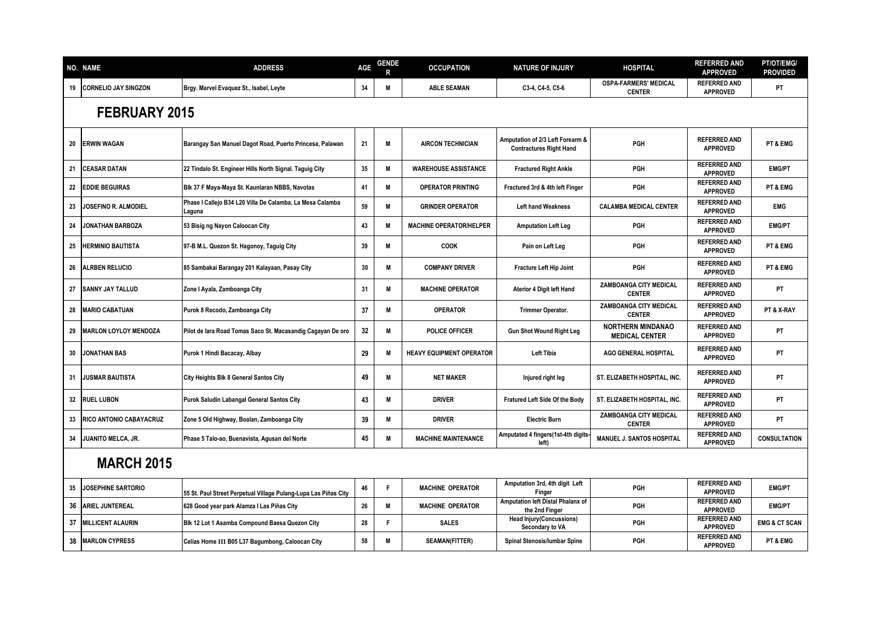|    | <b>NO. NAME</b>              | <b>ADDRESS</b>                                                      | AGE | <b>GENDE</b> | <b>OCCUPATION</b>               | <b>NATURE OF INJURY</b>                                            | <b>HOSPITAL</b>                                   | <b>REFERRED AND</b><br><b>APPROVED</b> | PT/OT/EMG/<br><b>PROVIDED</b> |
|----|------------------------------|---------------------------------------------------------------------|-----|--------------|---------------------------------|--------------------------------------------------------------------|---------------------------------------------------|----------------------------------------|-------------------------------|
| 19 | <b>CORNELIO JAY SINGZON</b>  | Brgy. Marvel Evaquez St., Isabel, Leyte                             | 34  | M            | <b>ABLE SEAMAN</b>              | C3-4, C4-5, C5-6                                                   | <b>OSPA-FARMERS' MEDICAL</b><br><b>CENTER</b>     | <b>REFERRED AND</b><br><b>APPROVED</b> | PT                            |
|    | FEBRUARY 2015                |                                                                     |     |              |                                 |                                                                    |                                                   |                                        |                               |
| 20 | <b>ERWIN WAGAN</b>           | Barangay San Manuel Dagot Road, Puerto Princesa, Palawan            | 21  | M            | <b>AIRCON TECHNICIAN</b>        | Amputation of 2/3 Left Forearm &<br><b>Contractures Right Hand</b> | PGH                                               | <b>REFERRED AND</b><br><b>APPROVED</b> | PT & EMG                      |
| 21 | <b>CEASAR DATAN</b>          | 22 Tindalo St. Engineer Hills North Signal. Taguig City             | 35  | M            | <b>WAREHOUSE ASSISTANCE</b>     | <b>Fractured Right Ankle</b>                                       | PGH                                               | <b>REFERRED AND</b><br><b>APPROVED</b> | <b>EMG/PT</b>                 |
| 22 | <b>EDDIE BEGUIRAS</b>        | Blk 37 F Maya-Maya St. Kaunlaran NBBS, Navotas                      | 41  | M            | <b>OPERATOR PRINTING</b>        | Fractured 3rd & 4th left Finger                                    | PGH                                               | <b>REFERRED AND</b><br><b>APPROVED</b> | PT & EMG                      |
| 23 | <b>IOSEFINO R. ALMODIEL</b>  | Phase I Callejo B34 L20 Villa De Calamba, La Mesa Calamba<br>Laguna | 59  | M            | <b>GRINDER OPERATOR</b>         | <b>Left hand Weakness</b>                                          | <b>CALAMBA MEDICAL CENTER</b>                     | <b>REFERRED AND</b><br><b>APPROVED</b> | <b>EMG</b>                    |
| 24 | <b>JONATHAN BARBOZA</b>      | 53 Bisig ng Nayon Caloocan City                                     | 43  | M            | <b>MACHINE OPERATOR/HELPER</b>  | <b>Amputation Left Leg</b>                                         | PGH                                               | <b>REFERRED AND</b><br><b>APPROVED</b> | <b>EMG/PT</b>                 |
| 25 | <b>HERMINIO BAUTISTA</b>     | 97-B M.L. Quezon St. Hagonoy, Taguig City                           | 39  | M            | COOK                            | Pain on Left Leg                                                   | PGH                                               | <b>REFERRED AND</b><br><b>APPROVED</b> | PT & EMG                      |
| 26 | <b>ALRBEN RELUCIO</b>        | 85 Sambakai Barangay 201 Kalayaan, Pasay City                       | 30  | M            | <b>COMPANY DRIVER</b>           | Fracture Left Hip Joint                                            | PGH                                               | <b>REFERRED AND</b><br><b>APPROVED</b> | PT & EMG                      |
| 27 | <b>SANNY JAY TALLUD</b>      | Zone I Ayala, Zamboanga City                                        | 31  | M            | <b>MACHINE OPERATOR</b>         | Aterior 4 Digit left Hand                                          | <b>ZAMBOANGA CITY MEDICAL</b><br><b>CENTER</b>    | <b>REFERRED AND</b><br><b>APPROVED</b> | PT                            |
| 28 | <b>MARIO CABATUAN</b>        | Purok 8 Recodo, Zamboanga City                                      | 37  | M            | <b>OPERATOR</b>                 | Trimmer Operator.                                                  | ZAMBOANGA CITY MEDICAL<br><b>CENTER</b>           | <b>REFERRED AND</b><br><b>APPROVED</b> | PT & X-RAY                    |
| 29 | <b>MARLON LOYLOY MENDOZA</b> | Pilot de lara Road Tomas Saco St. Macasandig Cagayan De oro         | 32  | M            | POLICE OFFICER                  | <b>Gun Shot Wound Right Leg</b>                                    | <b>NORTHERN MINDANAO</b><br><b>MEDICAL CENTER</b> | <b>REFERRED AND</b><br><b>APPROVED</b> | PT                            |
| 30 | <b>JONATHAN BAS</b>          | Purok 1 Hindi Bacacay, Albay                                        | 29  | M            | <b>HEAVY EQUIPMENT OPERATOR</b> | <b>Left Tibia</b>                                                  | <b>AGO GENERAL HOSPITAL</b>                       | <b>REFERRED AND</b><br><b>APPROVED</b> | PT                            |
| 31 | <b>JUSMAR BAUTISTA</b>       | <b>City Heights Blk 8 General Santos City</b>                       | 49  | M            | <b>NET MAKER</b>                | Injured right leg                                                  | ST. ELIZABETH HOSPITAL, INC.                      | <b>REFERRED AND</b><br><b>APPROVED</b> | PT                            |
| 32 | <b>RUEL LUBON</b>            | Purok Saludin Labangal General Santos City                          | 43  | M            | <b>DRIVER</b>                   | Fratured Left Side Of the Body                                     | ST. ELIZABETH HOSPITAL, INC.                      | <b>REFERRED AND</b><br><b>APPROVED</b> | PT                            |
| 33 | RICO ANTONIO CABAYACRUZ      | Zone 5 Old Highway, Boalan, Zamboanga City                          | 39  | M            | <b>DRIVER</b>                   | <b>Electric Burn</b>                                               | ZAMBOANGA CITY MEDICAL<br><b>CENTER</b>           | <b>REFERRED AND</b><br><b>APPROVED</b> | PT                            |
| 34 | JUANITO MELCA, JR.           | Phase 5 Talo-ao, Buenavista, Agusan del Norte                       | 45  | M            | <b>MACHINE MAINTENANCE</b>      | Amputated 4 fingers (1st-4th digits-<br>left)                      | <b>MANUEL J. SANTOS HOSPITAL</b>                  | <b>REFERRED AND</b><br><b>APPROVED</b> | <b>CONSULTATION</b>           |
|    | <b>MARCH 2015</b>            |                                                                     |     |              |                                 |                                                                    |                                                   |                                        |                               |
| 35 | <b>JOSEPHINE SARTORIO</b>    | 55 St. Paul Street Perpetual Village Pulang-Lupa Las Piñas City     | 46  | F            | <b>MACHINE OPERATOR</b>         | Amputation 3rd, 4th digit Left<br>Finger                           | PGH                                               | <b>REFERRED AND</b><br><b>APPROVED</b> | <b>EMG/PT</b>                 |
| 36 | <b>ARIEL JUNTEREAL</b>       | 628 Good year park Alamza I Las Piñas City                          | 26  | M            | <b>MACHINE OPERATOR</b>         | Amputation left Distal Phalanx of<br>the 2nd Finger                | PGH                                               | <b>REFERRED AND</b><br><b>APPROVED</b> | <b>EMG/PT</b>                 |
| 37 | <b>MILLICENT ALAURIN</b>     | Blk 12 Lot 1 Asamba Compound Baesa Quezon City                      | 28  | F            | <b>SALES</b>                    | <b>Head Injury(Concussions)</b><br>Secondary to VA                 | PGH                                               | <b>REFERRED AND</b><br><b>APPROVED</b> | <b>EMG &amp; CT SCAN</b>      |
| 38 | <b>MARLON CYPRESS</b>        | Celias Home III B05 L37 Bagumbong, Caloocan City                    | 58  | M            | <b>SEAMAN(FITTER)</b>           | Spinal Stenosis/lumbar Spine                                       | PGH                                               | <b>REFERRED AND</b><br><b>APPROVED</b> | PT & EMG                      |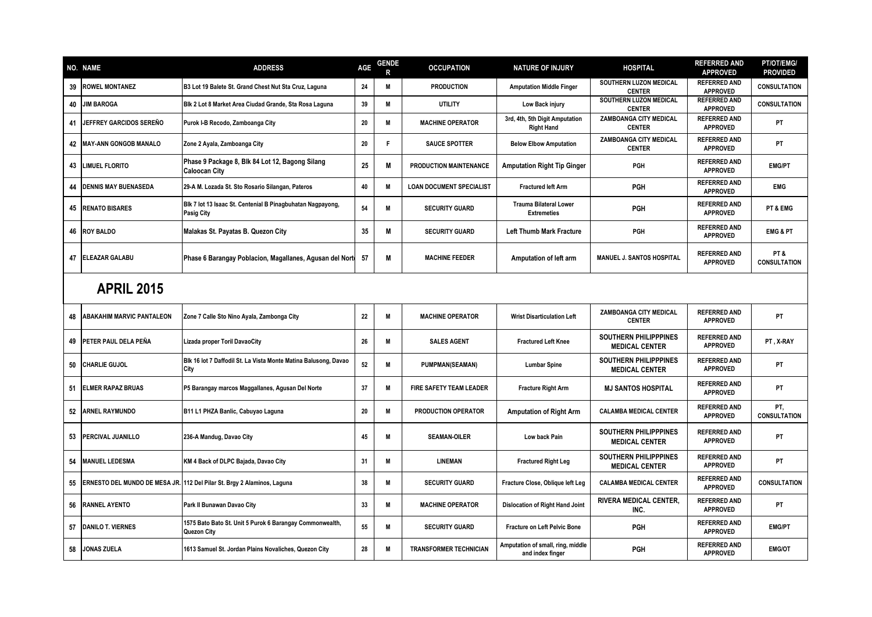|    | <b>NO. NAME</b>                  | <b>ADDRESS</b>                                                                  | AGE | <b>GENDE</b><br>R | <b>OCCUPATION</b>               | <b>NATURE OF INJURY</b>                               | <b>HOSPITAL</b>                                       | <b>REFERRED AND</b><br><b>APPROVED</b> | PT/OT/EMG/<br><b>PROVIDED</b> |
|----|----------------------------------|---------------------------------------------------------------------------------|-----|-------------------|---------------------------------|-------------------------------------------------------|-------------------------------------------------------|----------------------------------------|-------------------------------|
| 39 | <b>ROWEL MONTANEZ</b>            | B3 Lot 19 Balete St. Grand Chest Nut Sta Cruz, Laguna                           | 24  | M                 | <b>PRODUCTION</b>               | <b>Amputation Middle Finger</b>                       | SOUTHERN LUZON MEDICAL<br><b>CENTER</b>               | <b>REFERRED AND</b><br><b>APPROVED</b> | <b>CONSULTATION</b>           |
| 40 | <b>JIM BAROGA</b>                | Blk 2 Lot 8 Market Area Ciudad Grande, Sta Rosa Laguna                          | 39  | M                 | <b>UTILITY</b>                  | Low Back injury                                       | SOUTHERN LUZON MEDICAL<br><b>CENTER</b>               | <b>REFERRED AND</b><br><b>APPROVED</b> | <b>CONSULTATION</b>           |
| 41 | JEFFREY GARCIDOS SEREÑO          | Purok I-B Recodo, Zamboanga City                                                | 20  | M                 | <b>MACHINE OPERATOR</b>         | 3rd, 4th, 5th Digit Amputation<br><b>Right Hand</b>   | ZAMBOANGA CITY MEDICAL<br><b>CENTER</b>               | <b>REFERRED AND</b><br><b>APPROVED</b> | PT                            |
|    | 42 MAY-ANN GONGOB MANALO         | Zone 2 Ayala, Zamboanga City                                                    | 20  | F                 | <b>SAUCE SPOTTER</b>            | <b>Below Elbow Amputation</b>                         | <b>ZAMBOANGA CITY MEDICAL</b><br><b>CENTER</b>        | <b>REFERRED AND</b><br><b>APPROVED</b> | <b>PT</b>                     |
| 43 | <b>LIMUEL FLORITO</b>            | Phase 9 Package 8, Blk 84 Lot 12, Bagong Silang<br><b>Caloocan City</b>         | 25  | M                 | PRODUCTION MAINTENANCE          | <b>Amputation Right Tip Ginger</b>                    | PGH                                                   | <b>REFERRED AND</b><br><b>APPROVED</b> | <b>EMG/PT</b>                 |
| 44 | <b>DENNIS MAY BUENASEDA</b>      | 29-A M. Lozada St. Sto Rosario Silangan, Pateros                                | 40  | M                 | <b>LOAN DOCUMENT SPECIALIST</b> | <b>Fractured left Arm</b>                             | <b>PGH</b>                                            | <b>REFERRED AND</b><br><b>APPROVED</b> | <b>EMG</b>                    |
| 45 | <b>RENATO BISARES</b>            | Blk 7 lot 13 Isaac St. Centenial B Pinagbuhatan Nagpayong,<br><b>Pasig City</b> | 54  | M                 | <b>SECURITY GUARD</b>           | <b>Trauma Bilateral Lower</b><br><b>Extremeties</b>   | PGH                                                   | <b>REFERRED AND</b><br><b>APPROVED</b> | PT & EMG                      |
|    | 46 ROY BALDO                     | Malakas St. Payatas B. Quezon City                                              | 35  | M                 | <b>SECURITY GUARD</b>           | <b>Left Thumb Mark Fracture</b>                       | PGH                                                   | <b>REFERRED AND</b><br><b>APPROVED</b> | <b>EMG &amp; PT</b>           |
| 47 | <b>ELEAZAR GALABU</b>            | Phase 6 Barangay Poblacion, Magallanes, Agusan del Nort                         | 57  | M                 | <b>MACHINE FEEDER</b>           | Amputation of left arm                                | MANUEL J. SANTOS HOSPITAL                             | <b>REFERRED AND</b><br><b>APPROVED</b> | PT&<br><b>CONSULTATION</b>    |
|    | <b>APRIL 2015</b>                |                                                                                 |     |                   |                                 |                                                       |                                                       |                                        |                               |
| 48 | <b>ABAKAHIM MARVIC PANTALEON</b> | Zone 7 Calle Sto Nino Ayala, Zambonga City                                      | 22  | M                 | <b>MACHINE OPERATOR</b>         | <b>Wrist Disarticulation Left</b>                     | ZAMBOANGA CITY MEDICAL<br><b>CENTER</b>               | <b>REFERRED AND</b><br><b>APPROVED</b> | PT                            |
| 49 | PETER PAUL DELA PEÑA             | Lizada proper Toril DavaoCity                                                   | 26  | M                 | <b>SALES AGENT</b>              | <b>Fractured Left Knee</b>                            | <b>SOUTHERN PHILIPPPINES</b><br><b>MEDICAL CENTER</b> | <b>REFERRED AND</b><br><b>APPROVED</b> | PT, X-RAY                     |
| 50 | <b>CHARLIE GUJOL</b>             | Blk 16 lot 7 Daffodil St. La Vista Monte Matina Balusong, Davao<br>City         | 52  | M                 | PUMPMAN(SEAMAN)                 | <b>Lumbar Spine</b>                                   | <b>SOUTHERN PHILIPPPINES</b><br><b>MEDICAL CENTER</b> | <b>REFERRED AND</b><br><b>APPROVED</b> | PT                            |
| 51 | <b>ELMER RAPAZ BRUAS</b>         | P5 Barangay marcos Maggallanes, Agusan Del Norte                                | 37  | M                 | FIRE SAFETY TEAM LEADER         | <b>Fracture Right Arm</b>                             | <b>MJ SANTOS HOSPITAL</b>                             | <b>REFERRED AND</b><br><b>APPROVED</b> | PT                            |
| 52 | <b>ARNEL RAYMUNDO</b>            | B11 L1 PHZA Banlic, Cabuyao Laguna                                              | 20  | M                 | PRODUCTION OPERATOR             | <b>Amputation of Right Arm</b>                        | <b>CALAMBA MEDICAL CENTER</b>                         | <b>REFERRED AND</b><br><b>APPROVED</b> | PT.<br><b>CONSULTATION</b>    |
| 53 | PERCIVAL JUANILLO                | 236-A Mandug, Davao City                                                        | 45  | M                 | <b>SEAMAN-OILER</b>             | Low back Pain                                         | <b>SOUTHERN PHILIPPPINES</b><br><b>MEDICAL CENTER</b> | <b>REFERRED AND</b><br><b>APPROVED</b> | PT                            |
| 54 | <b>MANUEL LEDESMA</b>            | KM 4 Back of DLPC Bajada, Davao City                                            | 31  | M                 | <b>LINEMAN</b>                  | <b>Fractured Right Leg</b>                            | <b>SOUTHERN PHILIPPPINES</b><br><b>MEDICAL CENTER</b> | <b>REFERRED AND</b><br><b>APPROVED</b> | PT                            |
| 55 |                                  | ERNESTO DEL MUNDO DE MESA JR. 112 Del Pilar St. Brgy 2 Alaminos, Laguna         | 38  | M                 | <b>SECURITY GUARD</b>           | Fracture Close, Oblique left Leg                      | <b>CALAMBA MEDICAL CENTER</b>                         | <b>REFERRED AND</b><br><b>APPROVED</b> | <b>CONSULTATION</b>           |
| 56 | <b>RANNEL AYENTO</b>             | Park II Bunawan Davao City                                                      | 33  | M                 | <b>MACHINE OPERATOR</b>         | <b>Dislocation of Right Hand Joint</b>                | <b>RIVERA MEDICAL CENTER,</b><br>INC.                 | <b>REFERRED AND</b><br><b>APPROVED</b> | <b>PT</b>                     |
| 57 | <b>DANILO T. VIERNES</b>         | 1575 Bato Bato St. Unit 5 Purok 6 Barangay Commonwealth,<br>Quezon City         | 55  | M                 | <b>SECURITY GUARD</b>           | <b>Fracture on Left Pelvic Bone</b>                   | PGH                                                   | <b>REFERRED AND</b><br><b>APPROVED</b> | <b>EMG/PT</b>                 |
| 58 | <b>JONAS ZUELA</b>               | 1613 Samuel St. Jordan Plains Novaliches, Quezon City                           | 28  | M                 | <b>TRANSFORMER TECHNICIAN</b>   | Amputation of small, ring, middle<br>and index finger | PGH                                                   | <b>REFERRED AND</b><br><b>APPROVED</b> | <b>EMG/OT</b>                 |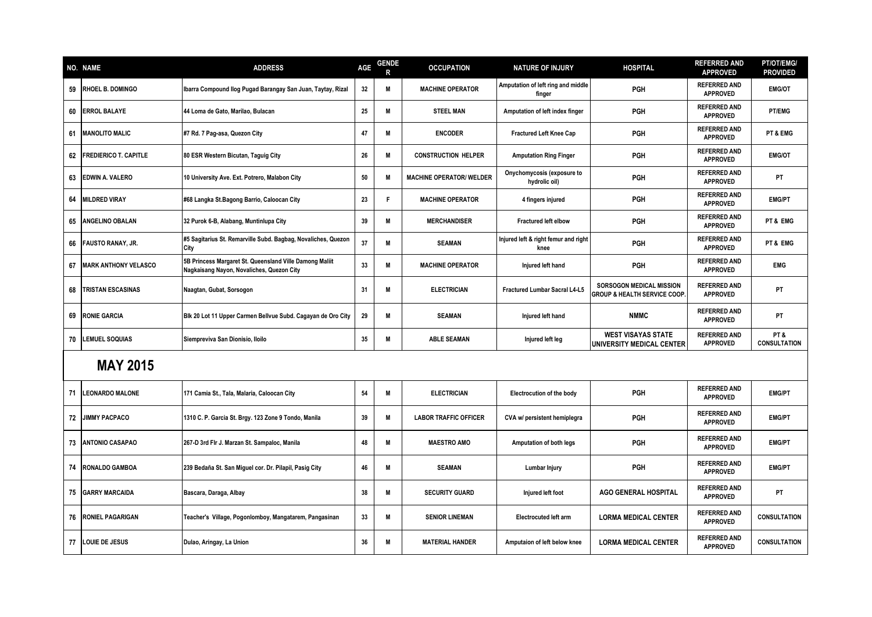|    | <b>NO. NAME</b>              | <b>ADDRESS</b>                                                                                       | <b>AGE</b> | <b>GENDE</b><br>R | <b>OCCUPATION</b>               | <b>NATURE OF INJURY</b>                      | <b>HOSPITAL</b>                                                     | <b>REFERRED AND</b><br><b>APPROVED</b> | <b>PT/OT/EMG/</b><br><b>PROVIDED</b> |
|----|------------------------------|------------------------------------------------------------------------------------------------------|------------|-------------------|---------------------------------|----------------------------------------------|---------------------------------------------------------------------|----------------------------------------|--------------------------------------|
| 59 | <b>RHOEL B. DOMINGO</b>      | Ibarra Compound Ilog Pugad Barangay San Juan, Taytay, Rizal                                          | 32         | M                 | <b>MACHINE OPERATOR</b>         | Amputation of left ring and middle<br>finger | <b>PGH</b>                                                          | <b>REFERRED AND</b><br><b>APPROVED</b> | <b>EMG/OT</b>                        |
| 60 | <b>ERROL BALAYE</b>          | 44 Loma de Gato, Marilao, Bulacan                                                                    | 25         | M                 | <b>STEEL MAN</b>                | Amputation of left index finger              | PGH                                                                 | <b>REFERRED AND</b><br><b>APPROVED</b> | PT/EMG                               |
| 61 | <b>MANOLITO MALIC</b>        | #7 Rd. 7 Pag-asa, Quezon City                                                                        | 47         | M                 | <b>ENCODER</b>                  | <b>Fractured Left Knee Cap</b>               | PGH                                                                 | <b>REFERRED AND</b><br><b>APPROVED</b> | PT & EMG                             |
| 62 | <b>FREDIERICO T. CAPITLE</b> | 80 ESR Western Bicutan, Taguig City                                                                  | 26         | M                 | <b>CONSTRUCTION HELPER</b>      | <b>Amputation Ring Finger</b>                | PGH                                                                 | <b>REFERRED AND</b><br><b>APPROVED</b> | <b>EMG/OT</b>                        |
| 63 | <b>EDWIN A. VALERO</b>       | 10 University Ave. Ext. Potrero, Malabon City                                                        | 50         | M                 | <b>MACHINE OPERATOR/ WELDER</b> | Onychomycosis (exposure to<br>hydrolic oil)  | PGH                                                                 | <b>REFERRED AND</b><br><b>APPROVED</b> | PT                                   |
| 64 | <b>MILDRED VIRAY</b>         | #68 Langka St.Bagong Barrio, Caloocan City                                                           | 23         | F                 | <b>MACHINE OPERATOR</b>         | 4 fingers injured                            | PGH                                                                 | <b>REFERRED AND</b><br><b>APPROVED</b> | <b>EMG/PT</b>                        |
| 65 | <b>ANGELINO OBALAN</b>       | 32 Purok 6-B, Alabang, Muntinlupa City                                                               | 39         | M                 | <b>MERCHANDISER</b>             | <b>Fractured left elbow</b>                  | <b>PGH</b>                                                          | <b>REFERRED AND</b><br><b>APPROVED</b> | PT & EMG                             |
| 66 | <b>FAUSTO RANAY, JR.</b>     | #5 Sagitarius St. Remarville Subd. Bagbag, Novaliches, Quezon<br>City                                | 37         | M                 | <b>SEAMAN</b>                   | Injured left & right femur and right<br>knee | <b>PGH</b>                                                          | <b>REFERRED AND</b><br><b>APPROVED</b> | PT & EMG                             |
| 67 | <b>MARK ANTHONY VELASCO</b>  | 5B Princess Margaret St. Queensland Ville Damong Maliit<br>Nagkaisang Nayon, Novaliches, Quezon City | 33         | M                 | <b>MACHINE OPERATOR</b>         | Injured left hand                            | PGH                                                                 | <b>REFERRED AND</b><br><b>APPROVED</b> | <b>EMG</b>                           |
| 68 | <b>TRISTAN ESCASINAS</b>     | Naagtan, Gubat, Sorsogon                                                                             | 31         | M                 | <b>ELECTRICIAN</b>              | <b>Fractured Lumbar Sacral L4-L5</b>         | SORSOGON MEDICAL MISSION<br><b>GROUP &amp; HEALTH SERVICE COOP.</b> | <b>REFERRED AND</b><br><b>APPROVED</b> | PT                                   |
| 69 | <b>RONIE GARCIA</b>          | Blk 20 Lot 11 Upper Carmen Bellvue Subd. Cagayan de Oro City                                         | 29         | M                 | <b>SEAMAN</b>                   | Injured left hand                            | <b>NMMC</b>                                                         | <b>REFERRED AND</b><br><b>APPROVED</b> | <b>PT</b>                            |
| 70 | <b>LEMUEL SOQUIAS</b>        | Siempreviva San Dionisio, Iloilo                                                                     | 35         | M                 | <b>ABLE SEAMAN</b>              | Injured left leg                             | <b>WEST VISAYAS STATE</b><br>UNIVERSITY MEDICAL CENTER              | <b>REFERRED AND</b><br><b>APPROVED</b> | PT&<br><b>CONSULTATION</b>           |
|    | <b>MAY 2015</b>              |                                                                                                      |            |                   |                                 |                                              |                                                                     |                                        |                                      |
| 71 | <b>EONARDO MALONE</b>        | 171 Camia St., Tala, Malaria, Caloocan City                                                          | 54         | M                 | <b>ELECTRICIAN</b>              | <b>Electrocution of the body</b>             | PGH                                                                 | <b>REFERRED AND</b><br><b>APPROVED</b> | <b>EMG/PT</b>                        |
| 72 | <b>JIMMY PACPACO</b>         | 1310 C. P. Garcia St. Brgy. 123 Zone 9 Tondo, Manila                                                 | 39         | M                 | <b>LABOR TRAFFIC OFFICER</b>    | CVA w/ persistent hemiplegra                 | PGH                                                                 | <b>REFERRED AND</b><br><b>APPROVED</b> | <b>EMG/PT</b>                        |
| 73 | <b>ANTONIO CASAPAO</b>       | 267-D 3rd Fir J. Marzan St. Sampaloc, Manila                                                         | 48         | M                 | <b>MAESTRO AMO</b>              | Amputation of both legs                      | PGH                                                                 | <b>REFERRED AND</b><br><b>APPROVED</b> | <b>EMG/PT</b>                        |
| 74 | <b>RONALDO GAMBOA</b>        | 239 Bedaña St. San Miguel cor. Dr. Pilapil, Pasig City                                               | 46         | M                 | <b>SEAMAN</b>                   | Lumbar Injury                                | PGH                                                                 | <b>REFERRED AND</b><br><b>APPROVED</b> | <b>EMG/PT</b>                        |
| 75 | <b>GARRY MARCAIDA</b>        | Bascara, Daraga, Albay                                                                               | 38         | M                 | <b>SECURITY GUARD</b>           | Injured left foot                            | <b>AGO GENERAL HOSPITAL</b>                                         | <b>REFERRED AND</b><br><b>APPROVED</b> | <b>PT</b>                            |
| 76 | <b>RONIEL PAGARIGAN</b>      | Teacher's Village, Pogonlomboy, Mangatarem, Pangasinan                                               | 33         | M                 | <b>SENIOR LINEMAN</b>           | <b>Electrocuted left arm</b>                 | <b>LORMA MEDICAL CENTER</b>                                         | <b>REFERRED AND</b><br><b>APPROVED</b> | <b>CONSULTATION</b>                  |
|    | 77 LOUIE DE JESUS            | Dulao, Aringay, La Union                                                                             | 36         | M                 | <b>MATERIAL HANDER</b>          | Amputaion of left below knee                 | <b>LORMA MEDICAL CENTER</b>                                         | <b>REFERRED AND</b><br><b>APPROVED</b> | <b>CONSULTATION</b>                  |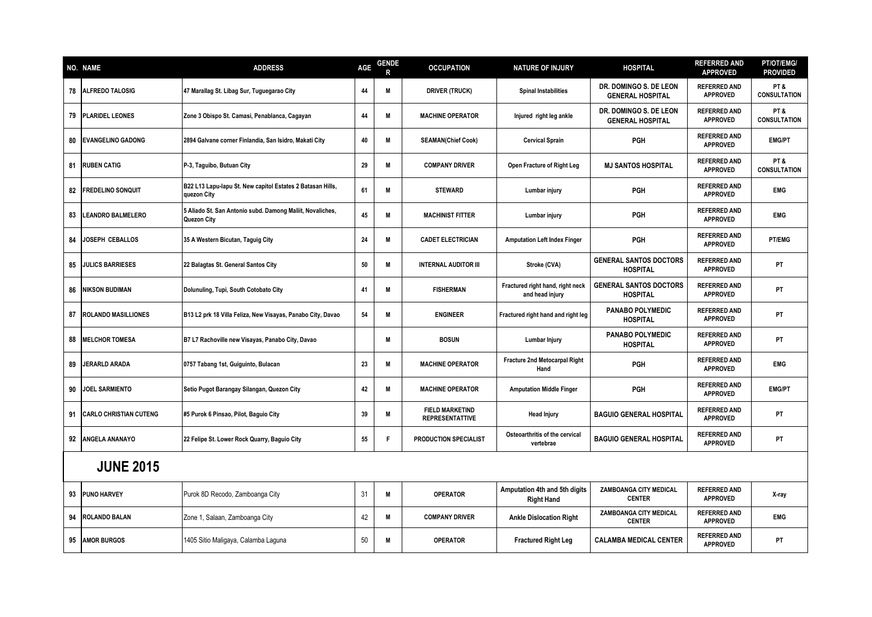|    | <b>NO. NAME</b>               | <b>ADDRESS</b>                                                            | AGE | <b>GENDE</b> | <b>OCCUPATION</b>                                | <b>NATURE OF INJURY</b>                             | <b>HOSPITAL</b>                                   | <b>REFERRED AND</b><br><b>APPROVED</b> | <b>PT/OT/EMG/</b><br><b>PROVIDED</b> |
|----|-------------------------------|---------------------------------------------------------------------------|-----|--------------|--------------------------------------------------|-----------------------------------------------------|---------------------------------------------------|----------------------------------------|--------------------------------------|
| 78 | <b>ALFREDO TALOSIG</b>        | 47 Marallag St. Libag Sur, Tuguegarao City                                | 44  | M            | <b>DRIVER (TRUCK)</b>                            | <b>Spinal Instabilities</b>                         | DR. DOMINGO S. DE LEON<br><b>GENERAL HOSPITAL</b> | <b>REFERRED AND</b><br><b>APPROVED</b> | PT&<br><b>CONSULTATION</b>           |
| 79 | <b>PLARIDEL LEONES</b>        | Zone 3 Obispo St. Camasi, Penablanca, Cagayan                             | 44  | M            | <b>MACHINE OPERATOR</b>                          | Injured right leg ankle                             | DR. DOMINGO S. DE LEON<br><b>GENERAL HOSPITAL</b> | <b>REFERRED AND</b><br><b>APPROVED</b> | PT&<br><b>CONSULTATION</b>           |
| 80 | <b>EVANGELINO GADONG</b>      | 2894 Galvane corner Finlandia, San Isidro, Makati City                    | 40  | M            | <b>SEAMAN(Chief Cook)</b>                        | <b>Cervical Sprain</b>                              | PGH                                               | <b>REFERRED AND</b><br><b>APPROVED</b> | <b>EMG/PT</b>                        |
| 81 | <b>RUBEN CATIG</b>            | P-3, Taguibo, Butuan City                                                 | 29  | M            | <b>COMPANY DRIVER</b>                            | Open Fracture of Right Leg                          | <b>MJ SANTOS HOSPITAL</b>                         | <b>REFERRED AND</b><br><b>APPROVED</b> | PT&<br><b>CONSULTATION</b>           |
| 82 | <b>FREDELINO SONQUIT</b>      | B22 L13 Lapu-lapu St. New capitol Estates 2 Batasan Hills,<br>quezon City | 61  | M            | <b>STEWARD</b>                                   | Lumbar injury                                       | <b>PGH</b>                                        | <b>REFERRED AND</b><br><b>APPROVED</b> | <b>EMG</b>                           |
| 83 | <b>LEANDRO BALMELERO</b>      | 5 Aliado St. San Antonio subd. Damong Maliit, Novaliches,<br>Quezon City  | 45  | M            | <b>MACHINIST FITTER</b>                          | Lumbar injury                                       | PGH                                               | <b>REFERRED AND</b><br><b>APPROVED</b> | <b>EMG</b>                           |
| 84 | <b>JOSEPH CEBALLOS</b>        | 35 A Western Bicutan, Taguig City                                         | 24  | M            | <b>CADET ELECTRICIAN</b>                         | <b>Amputation Left Index Finger</b>                 | <b>PGH</b>                                        | <b>REFERRED AND</b><br><b>APPROVED</b> | <b>PT/EMG</b>                        |
| 85 | <b>JULICS BARRIESES</b>       | 22 Balagtas St. General Santos City                                       | 50  | M            | <b>INTERNAL AUDITOR III</b>                      | Stroke (CVA)                                        | <b>GENERAL SANTOS DOCTORS</b><br><b>HOSPITAL</b>  | <b>REFERRED AND</b><br><b>APPROVED</b> | <b>PT</b>                            |
| 86 | <b>NIKSON BUDIMAN</b>         | Dolunuling, Tupi, South Cotobato City                                     | 41  | M            | <b>FISHERMAN</b>                                 | Fractured right hand, right neck<br>and head injury | <b>GENERAL SANTOS DOCTORS</b><br><b>HOSPITAL</b>  | <b>REFERRED AND</b><br><b>APPROVED</b> | <b>PT</b>                            |
| 87 | <b>ROLANDO MASILLIONES</b>    | B13 L2 prk 18 Villa Feliza, New Visayas, Panabo City, Davao               | 54  | M            | <b>ENGINEER</b>                                  | Fractured right hand and right leg                  | <b>PANABO POLYMEDIC</b><br><b>HOSPITAL</b>        | <b>REFERRED AND</b><br><b>APPROVED</b> | PT                                   |
| 88 | <b>MELCHOR TOMESA</b>         | B7 L7 Rachoville new Visayas, Panabo City, Davao                          |     | M            | <b>BOSUN</b>                                     | Lumbar Injury                                       | <b>PANABO POLYMEDIC</b><br><b>HOSPITAL</b>        | <b>REFERRED AND</b><br><b>APPROVED</b> | PT                                   |
| 89 | JERARLD ARADA                 | 0757 Tabang 1st, Guiguinto, Bulacan                                       | 23  | M            | <b>MACHINE OPERATOR</b>                          | Fracture 2nd Metocarpal Right<br>Hand               | <b>PGH</b>                                        | <b>REFERRED AND</b><br><b>APPROVED</b> | <b>EMG</b>                           |
| 90 | <b>JOEL SARMIENTO</b>         | Setio Pugot Barangay Silangan, Quezon City                                | 42  | M            | <b>MACHINE OPERATOR</b>                          | <b>Amputation Middle Finger</b>                     | <b>PGH</b>                                        | <b>REFERRED AND</b><br><b>APPROVED</b> | <b>EMG/PT</b>                        |
| 91 | <b>CARLO CHRISTIAN CUTENG</b> | #5 Purok 6 Pinsao, Pilot, Baguio City                                     | 39  | M            | <b>FIELD MARKETIND</b><br><b>REPRESENTATTIVE</b> | <b>Head Injury</b>                                  | <b>BAGUIO GENERAL HOSPITAL</b>                    | <b>REFERRED AND</b><br><b>APPROVED</b> | PT                                   |
| 92 | <b>ANGELA ANANAYO</b>         | 22 Felipe St. Lower Rock Quarry, Baguio City                              | 55  | F            | PRODUCTION SPECIALIST                            | Osteoarthritis of the cervical<br>vertebrae         | <b>BAGUIO GENERAL HOSPITAL</b>                    | <b>REFERRED AND</b><br><b>APPROVED</b> | <b>PT</b>                            |
|    | <b>JUNE 2015</b>              |                                                                           |     |              |                                                  |                                                     |                                                   |                                        |                                      |
| 93 | <b>PUNO HARVEY</b>            | Purok 8D Recodo, Zamboanga City                                           | 31  | M            | <b>OPERATOR</b>                                  | Amputation 4th and 5th digits<br><b>Right Hand</b>  | <b>ZAMBOANGA CITY MEDICAL</b><br><b>CENTER</b>    | <b>REFERRED AND</b><br><b>APPROVED</b> | X-ray                                |
| 94 | <b>ROLANDO BALAN</b>          | Zone 1, Salaan, Zamboanga City                                            | 42  | M            | <b>COMPANY DRIVER</b>                            | <b>Ankle Dislocation Right</b>                      | ZAMBOANGA CITY MEDICAL<br><b>CENTER</b>           | <b>REFERRED AND</b><br><b>APPROVED</b> | <b>EMG</b>                           |
| 95 | <b>AMOR BURGOS</b>            | 1405 Sitio Maligaya, Calamba Laguna                                       | 50  | M            | <b>OPERATOR</b>                                  | <b>Fractured Right Leg</b>                          | <b>CALAMBA MEDICAL CENTER</b>                     | <b>REFERRED AND</b><br><b>APPROVED</b> | PT                                   |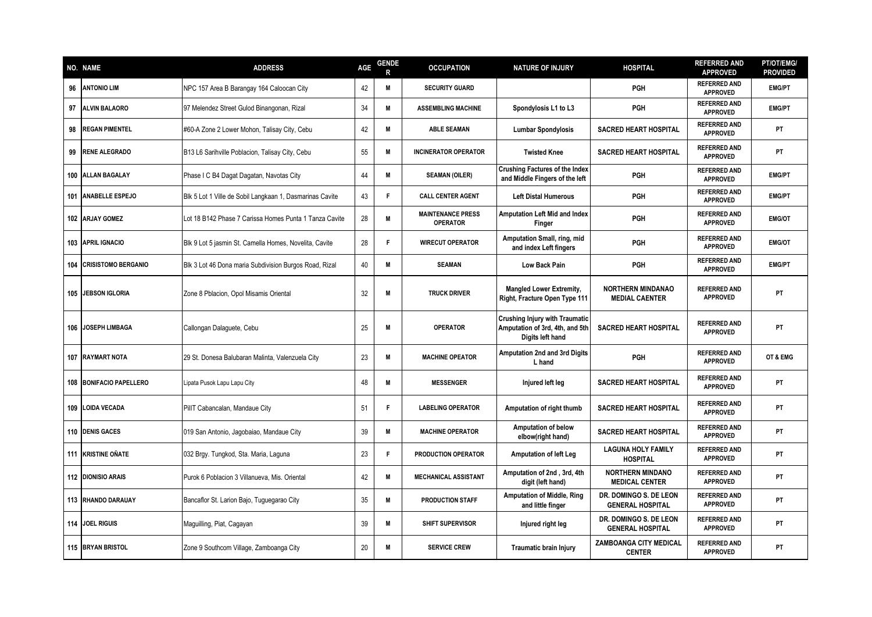|     | NO. NAME                  | <b>ADDRESS</b>                                           | AGE | <b>GENDE</b><br>R | <b>OCCUPATION</b>                           | <b>NATURE OF INJURY</b>                                                                      | <b>HOSPITAL</b>                                   | <b>REFERRED AND</b><br><b>APPROVED</b> | <b>PT/OT/EMG/</b><br><b>PROVIDED</b> |
|-----|---------------------------|----------------------------------------------------------|-----|-------------------|---------------------------------------------|----------------------------------------------------------------------------------------------|---------------------------------------------------|----------------------------------------|--------------------------------------|
| 96  | <b>ANTONIO LIM</b>        | NPC 157 Area B Barangay 164 Caloocan City                | 42  | M                 | <b>SECURITY GUARD</b>                       |                                                                                              | <b>PGH</b>                                        | <b>REFERRED AND</b><br><b>APPROVED</b> | <b>EMG/PT</b>                        |
| 97  | <b>ALVIN BALAORO</b>      | 97 Melendez Street Gulod Binangonan, Rizal               | 34  | M                 | <b>ASSEMBLING MACHINE</b>                   | Spondylosis L1 to L3                                                                         | PGH                                               | <b>REFERRED AND</b><br><b>APPROVED</b> | <b>EMG/PT</b>                        |
| 98  | <b>REGAN PIMENTEL</b>     | #60-A Zone 2 Lower Mohon, Talisay City, Cebu             | 42  | M                 | <b>ABLE SEAMAN</b>                          | <b>Lumbar Spondylosis</b>                                                                    | <b>SACRED HEART HOSPITAL</b>                      | <b>REFERRED AND</b><br><b>APPROVED</b> | PT                                   |
| 99  | <b>RENE ALEGRADO</b>      | B13 L6 Sarihville Poblacion, Talisay City, Cebu          | 55  | M                 | <b>INCINERATOR OPERATOR</b>                 | <b>Twisted Knee</b>                                                                          | <b>SACRED HEART HOSPITAL</b>                      | <b>REFERRED AND</b><br><b>APPROVED</b> | PT                                   |
|     | 100 ALLAN BAGALAY         | Phase I C B4 Dagat Dagatan, Navotas City                 | 44  | M                 | <b>SEAMAN (OILER)</b>                       | <b>Crushing Factures of the Index</b><br>and Middle Fingers of the left                      | <b>PGH</b>                                        | <b>REFERRED AND</b><br><b>APPROVED</b> | <b>EMG/PT</b>                        |
| 101 | <b>ANABELLE ESPEJO</b>    | Blk 5 Lot 1 Ville de Sobil Langkaan 1, Dasmarinas Cavite | 43  | F                 | <b>CALL CENTER AGENT</b>                    | <b>Left Distal Humerous</b>                                                                  | <b>PGH</b>                                        | <b>REFERRED AND</b><br><b>APPROVED</b> | <b>EMG/PT</b>                        |
|     | 102 ARJAY GOMEZ           | Lot 18 B142 Phase 7 Carissa Homes Punta 1 Tanza Cavite   | 28  | M                 | <b>MAINTENANCE PRESS</b><br><b>OPERATOR</b> | <b>Amputation Left Mid and Index</b><br>Finger                                               | <b>PGH</b>                                        | <b>REFERRED AND</b><br><b>APPROVED</b> | <b>EMG/OT</b>                        |
|     | 103 APRIL IGNACIO         | Blk 9 Lot 5 jasmin St. Camella Homes, Novelita, Cavite   | 28  | F                 | <b>WIRECUT OPERATOR</b>                     | Amputation Small, ring, mid<br>and index Left fingers                                        | PGH                                               | <b>REFERRED AND</b><br><b>APPROVED</b> | <b>EMG/OT</b>                        |
|     | 104 CRISISTOMO BERGANIO   | Blk 3 Lot 46 Dona maria Subdivision Burgos Road, Rizal   | 40  | M                 | <b>SEAMAN</b>                               | <b>Low Back Pain</b>                                                                         | <b>PGH</b>                                        | <b>REFERRED AND</b><br><b>APPROVED</b> | <b>EMG/PT</b>                        |
|     | 105 JEBSON IGLORIA        | Zone 8 Pblacion, Opol Misamis Oriental                   | 32  | M                 | <b>TRUCK DRIVER</b>                         | <b>Mangled Lower Extremity,</b><br>Right, Fracture Open Type 111                             | <b>NORTHERN MINDANAO</b><br><b>MEDIAL CAENTER</b> | <b>REFERRED AND</b><br><b>APPROVED</b> | <b>PT</b>                            |
|     | 106 JOSEPH LIMBAGA        | Callongan Dalaguete, Cebu                                | 25  | M                 | <b>OPERATOR</b>                             | <b>Crushing Injury with Traumatic</b><br>Amputation of 3rd, 4th, and 5th<br>Digits left hand | <b>SACRED HEART HOSPITAL</b>                      | <b>REFERRED AND</b><br><b>APPROVED</b> | PT                                   |
|     | <b>107 RAYMART NOTA</b>   | 29 St. Donesa Balubaran Malinta, Valenzuela City         | 23  | M                 | <b>MACHINE OPEATOR</b>                      | <b>Amputation 2nd and 3rd Digits</b><br>L hand                                               | <b>PGH</b>                                        | <b>REFERRED AND</b><br><b>APPROVED</b> | OT & EMG                             |
|     | 108 BONIFACIO PAPELLERO   | Lipata Pusok Lapu Lapu City                              | 48  | M                 | <b>MESSENGER</b>                            | Injured left leg                                                                             | <b>SACRED HEART HOSPITAL</b>                      | <b>REFERRED AND</b><br><b>APPROVED</b> | PT                                   |
|     | 109 LOIDA VECADA          | PillT Cabancalan, Mandaue City                           | 51  |                   | <b>LABELING OPERATOR</b>                    | Amputation of right thumb                                                                    | <b>SACRED HEART HOSPITAL</b>                      | <b>REFERRED AND</b><br><b>APPROVED</b> | PT                                   |
|     | 110 DENIS GACES           | 019 San Antonio, Jagobaiao, Mandaue City                 | 39  | M                 | <b>MACHINE OPERATOR</b>                     | <b>Amputation of below</b><br>elbow(right hand)                                              | <b>SACRED HEART HOSPITAL</b>                      | <b>REFERRED AND</b><br><b>APPROVED</b> | PT                                   |
|     | 111 KRISTINE OÑATE        | 032 Brgy. Tungkod, Sta. Maria, Laguna                    | 23  | F                 | PRODUCTION OPERATOR                         | <b>Amputation of left Leg</b>                                                                | <b>LAGUNA HOLY FAMILY</b><br><b>HOSPITAL</b>      | <b>REFERRED AND</b><br><b>APPROVED</b> | <b>PT</b>                            |
|     | <b>112 DIONISIO ARAIS</b> | Purok 6 Poblacion 3 Villanueva, Mis. Oriental            | 42  | M                 | <b>MECHANICAL ASSISTANT</b>                 | Amputation of 2nd, 3rd, 4th<br>digit (left hand)                                             | <b>NORTHERN MINDANO</b><br><b>MEDICAL CENTER</b>  | <b>REFERRED AND</b><br><b>APPROVED</b> | PT                                   |
|     | 113 RHANDO DARAUAY        | Bancaflor St. Larion Bajo, Tuguegarao City               | 35  | M                 | <b>PRODUCTION STAFF</b>                     | <b>Amputation of Middle, Ring</b><br>and little finger                                       | DR. DOMINGO S. DE LEON<br><b>GENERAL HOSPITAL</b> | <b>REFERRED AND</b><br><b>APPROVED</b> | PT                                   |
|     | 114 JOEL RIGUIS           | Maguilling, Piat, Cagayan                                | 39  | M                 | <b>SHIFT SUPERVISOR</b>                     | Injured right leg                                                                            | DR. DOMINGO S. DE LEON<br><b>GENERAL HOSPITAL</b> | <b>REFERRED AND</b><br><b>APPROVED</b> | PT                                   |
|     | 115 BRYAN BRISTOL         | Zone 9 Southcom Village, Zamboanga City                  | 20  | M                 | <b>SERVICE CREW</b>                         | Traumatic brain Injury                                                                       | ZAMBOANGA CITY MEDICAL<br><b>CENTER</b>           | <b>REFERRED AND</b><br><b>APPROVED</b> | PT                                   |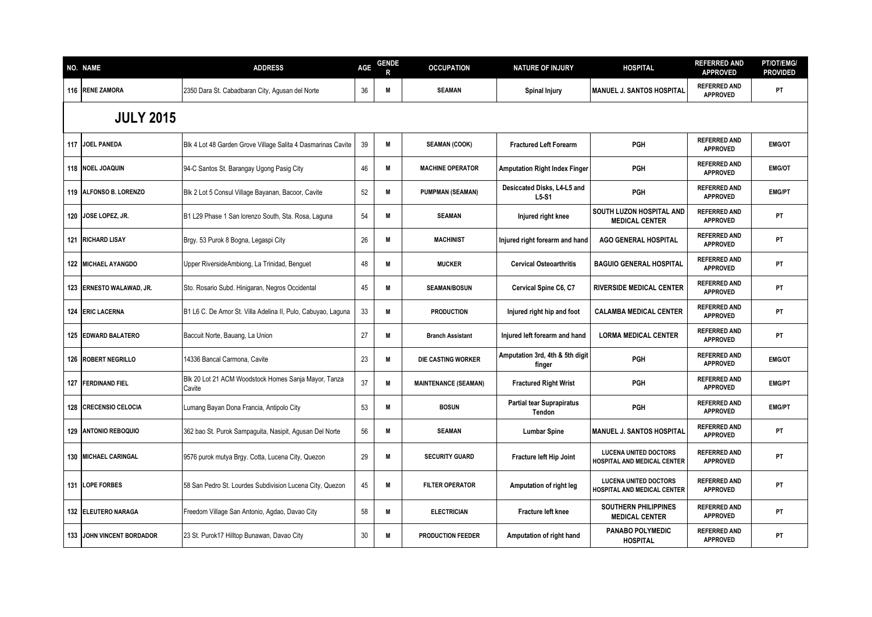| <b>NO. NAME</b>            | <b>ADDRESS</b>                                                 | <b>AGE</b> | <b>GENDE</b> | <b>OCCUPATION</b>           | <b>NATURE OF INJURY</b>                    | <b>HOSPITAL</b>                                             | <b>REFERRED AND</b><br><b>APPROVED</b> | PT/OT/EMG/<br><b>PROVIDED</b> |
|----------------------------|----------------------------------------------------------------|------------|--------------|-----------------------------|--------------------------------------------|-------------------------------------------------------------|----------------------------------------|-------------------------------|
| 116 RENE ZAMORA            | 2350 Dara St. Cabadbaran City, Agusan del Norte                | 36         | M            | <b>SEAMAN</b>               | <b>Spinal Injury</b>                       | <b>MANUEL J. SANTOS HOSPITAL</b>                            | <b>REFERRED AND</b><br><b>APPROVED</b> | PT                            |
| <b>JULY 2015</b>           |                                                                |            |              |                             |                                            |                                                             |                                        |                               |
| 117 JOEL PANEDA            | Blk 4 Lot 48 Garden Grove Village Salita 4 Dasmarinas Cavite   | 39         | M            | <b>SEAMAN (COOK)</b>        | <b>Fractured Left Forearm</b>              | <b>PGH</b>                                                  | <b>REFERRED AND</b><br><b>APPROVED</b> | <b>EMG/OT</b>                 |
| 118 NOEL JOAQUIN           | 94-C Santos St. Barangay Ugong Pasig City                      | 46         | M            | <b>MACHINE OPERATOR</b>     | <b>Amputation Right Index Finger</b>       | <b>PGH</b>                                                  | <b>REFERRED AND</b><br><b>APPROVED</b> | <b>EMG/OT</b>                 |
| 119 ALFONSO B. LORENZO     | Blk 2 Lot 5 Consul Village Bayanan, Bacoor, Cavite             | 52         | M            | <b>PUMPMAN (SEAMAN)</b>     | Desiccated Disks, L4-L5 and<br>$L5-S1$     | <b>PGH</b>                                                  | <b>REFERRED AND</b><br><b>APPROVED</b> | <b>EMG/PT</b>                 |
| 120 JOSE LOPEZ, JR.        | B1 L29 Phase 1 San Iorenzo South, Sta. Rosa, Laguna            | 54         | M            | <b>SEAMAN</b>               | Injured right knee                         | SOUTH LUZON HOSPITAL AND<br><b>MEDICAL CENTER</b>           | <b>REFERRED AND</b><br><b>APPROVED</b> | PT                            |
| 121 RICHARD LISAY          | Brgy. 53 Purok 8 Bogna, Legaspi City                           | 26         | M            | <b>MACHINIST</b>            | Injured right forearm and hand             | <b>AGO GENERAL HOSPITAL</b>                                 | <b>REFERRED AND</b><br><b>APPROVED</b> | <b>PT</b>                     |
| <b>122 MICHAEL AYANGDO</b> | Upper RiversideAmbiong, La Trinidad, Benguet                   | 48         | M            | <b>MUCKER</b>               | <b>Cervical Osteoarthritis</b>             | <b>BAGUIO GENERAL HOSPITAL</b>                              | <b>REFERRED AND</b><br><b>APPROVED</b> | PT                            |
| 123 ERNESTO WALAWAD, JR.   | Sto. Rosario Subd. Hinigaran, Negros Occidental                | 45         | M            | <b>SEAMAN/BOSUN</b>         | Cervical Spine C6, C7                      | <b>RIVERSIDE MEDICAL CENTER</b>                             | <b>REFERRED AND</b><br><b>APPROVED</b> | PT                            |
| 124 ERIC LACERNA           | B1 L6 C. De Amor St. Villa Adelina II, Pulo, Cabuyao, Laguna   | 33         | M            | <b>PRODUCTION</b>           | Injured right hip and foot                 | <b>CALAMBA MEDICAL CENTER</b>                               | <b>REFERRED AND</b><br><b>APPROVED</b> | PT                            |
| 125 EDWARD BALATERO        | Baccuit Norte, Bauang, La Union                                | 27         | M            | <b>Branch Assistant</b>     | Injured left forearm and hand              | <b>LORMA MEDICAL CENTER</b>                                 | <b>REFERRED AND</b><br><b>APPROVED</b> | <b>PT</b>                     |
| 126 ROBERT NEGRILLO        | 14336 Bancal Carmona, Cavite                                   | 23         | M            | DIE CASTING WORKER          | Amputation 3rd, 4th & 5th digit<br>finger  | <b>PGH</b>                                                  | <b>REFERRED AND</b><br><b>APPROVED</b> | <b>EMG/OT</b>                 |
| 127 FERDINAND FIEL         | Blk 20 Lot 21 ACM Woodstock Homes Sanja Mayor, Tanza<br>Cavite | 37         | M            | <b>MAINTENANCE (SEAMAN)</b> | <b>Fractured Right Wrist</b>               | <b>PGH</b>                                                  | <b>REFERRED AND</b><br><b>APPROVED</b> | <b>EMG/PT</b>                 |
| 128 CRECENSIO CELOCIA      | Lumang Bayan Dona Francia, Antipolo City                       | 53         | M            | <b>BOSUN</b>                | <b>Partial tear Suprapiratus</b><br>Tendon | <b>PGH</b>                                                  | <b>REFERRED AND</b><br><b>APPROVED</b> | <b>EMG/PT</b>                 |
| 129 ANTONIO REBOQUIO       | 362 bao St. Purok Sampaguita, Nasipit, Agusan Del Norte        | 56         | M            | <b>SEAMAN</b>               | <b>Lumbar Spine</b>                        | <b>MANUEL J. SANTOS HOSPITAL</b>                            | <b>REFERRED AND</b><br><b>APPROVED</b> | PT                            |
| 130 MICHAEL CARINGAL       | 9576 purok mutya Brgy. Cotta, Lucena City, Quezon              | 29         | M            | <b>SECURITY GUARD</b>       | Fracture left Hip Joint                    | <b>LUCENA UNITED DOCTORS</b><br>HOSPITAL AND MEDICAL CENTER | <b>REFERRED AND</b><br><b>APPROVED</b> | <b>PT</b>                     |
| 131 LOPE FORBES            | 58 San Pedro St. Lourdes Subdivision Lucena City, Quezon       | 45         | M            | <b>FILTER OPERATOR</b>      | Amputation of right leg                    | <b>LUCENA UNITED DOCTORS</b><br>HOSPITAL AND MEDICAL CENTER | <b>REFERRED AND</b><br><b>APPROVED</b> | <b>PT</b>                     |
| 132 ELEUTERO NARAGA        | Freedom Village San Antonio, Agdao, Davao City                 | 58         | M            | <b>ELECTRICIAN</b>          | Fracture left knee                         | <b>SOUTHERN PHILIPPINES</b><br><b>MEDICAL CENTER</b>        | <b>REFERRED AND</b><br><b>APPROVED</b> | PT                            |
| 133 JOHN VINCENT BORDADOR  | 23 St. Purok17 Hilltop Bunawan, Davao City                     | 30         | M            | <b>PRODUCTION FEEDER</b>    | Amputation of right hand                   | PANABO POLYMEDIC<br><b>HOSPITAL</b>                         | <b>REFERRED AND</b><br><b>APPROVED</b> | PT                            |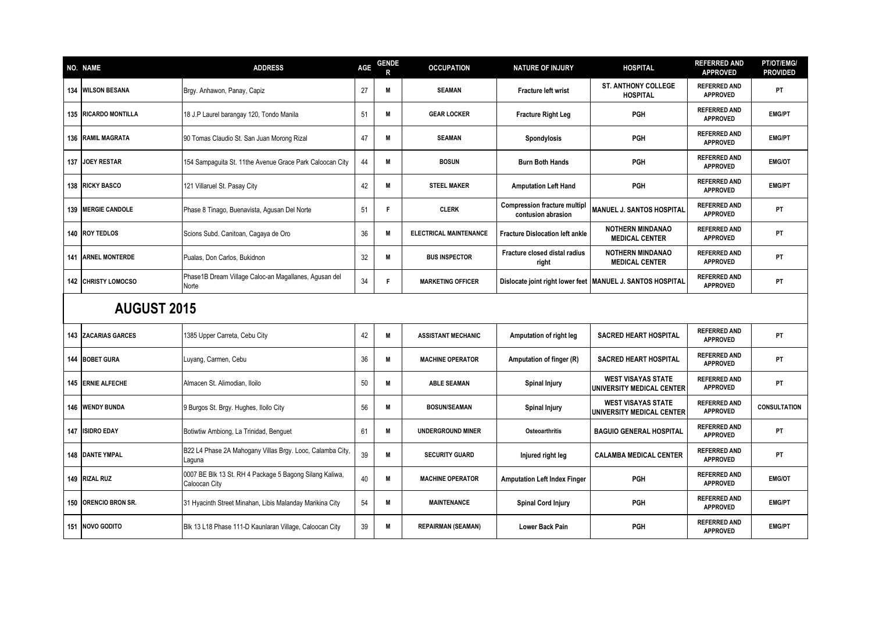|     | <b>NO. NAME</b>            | <b>ADDRESS</b>                                                           | <b>AGE</b> | <b>GENDE</b><br>R | <b>OCCUPATION</b>             | <b>NATURE OF INJURY</b>                                   | <b>HOSPITAL</b>                                              | <b>REFERRED AND</b><br><b>APPROVED</b> | PT/OT/EMG/<br><b>PROVIDED</b> |
|-----|----------------------------|--------------------------------------------------------------------------|------------|-------------------|-------------------------------|-----------------------------------------------------------|--------------------------------------------------------------|----------------------------------------|-------------------------------|
|     | 134 WILSON BESANA          | Brgy. Anhawon, Panay, Capiz                                              | 27         | M                 | <b>SEAMAN</b>                 | Fracture left wrist                                       | <b>ST. ANTHONY COLLEGE</b><br><b>HOSPITAL</b>                | <b>REFERRED AND</b><br><b>APPROVED</b> | PT                            |
|     | 135 RICARDO MONTILLA       | 18 J.P Laurel barangay 120, Tondo Manila                                 | 51         | M                 | <b>GEAR LOCKER</b>            | <b>Fracture Right Leg</b>                                 | <b>PGH</b>                                                   | <b>REFERRED AND</b><br><b>APPROVED</b> | <b>EMG/PT</b>                 |
|     | 136 RAMIL MAGRATA          | 90 Tomas Claudio St. San Juan Morong Rizal                               | 47         | M                 | <b>SEAMAN</b>                 | <b>Spondylosis</b>                                        | <b>PGH</b>                                                   | <b>REFERRED AND</b><br><b>APPROVED</b> | <b>EMG/PT</b>                 |
|     | 137 JOEY RESTAR            | 154 Sampaquita St. 11the Avenue Grace Park Caloocan City                 | 44         | M                 | <b>BOSUN</b>                  | <b>Burn Both Hands</b>                                    | <b>PGH</b>                                                   | <b>REFERRED AND</b><br><b>APPROVED</b> | <b>EMG/OT</b>                 |
|     | <b>138 RICKY BASCO</b>     | 121 Villaruel St. Pasay City                                             | 42         | M                 | <b>STEEL MAKER</b>            | <b>Amputation Left Hand</b>                               | <b>PGH</b>                                                   | <b>REFERRED AND</b><br><b>APPROVED</b> | <b>EMG/PT</b>                 |
|     | 139 MERGIE CANDOLE         | Phase 8 Tinago, Buenavista, Agusan Del Norte                             | 51         | F                 | <b>CLERK</b>                  | <b>Compression fracture multipl</b><br>contusion abrasion | <b>MANUEL J. SANTOS HOSPITAL</b>                             | <b>REFERRED AND</b><br><b>APPROVED</b> | PT                            |
|     | 140 ROY TEDLOS             | Scions Subd. Canitoan, Cagaya de Oro                                     | 36         | M                 | <b>ELECTRICAL MAINTENANCE</b> | <b>Fracture Dislocation left ankle</b>                    | <b>NOTHERN MINDANAO</b><br><b>MEDICAL CENTER</b>             | <b>REFERRED AND</b><br><b>APPROVED</b> | PT                            |
|     | <b>141 ARNEL MONTERDE</b>  | Pualas, Don Carlos, Bukidnon                                             | 32         | M                 | <b>BUS INSPECTOR</b>          | Fracture closed distal radius<br>right                    | <b>NOTHERN MINDANAO</b><br><b>MEDICAL CENTER</b>             | <b>REFERRED AND</b><br><b>APPROVED</b> | PT                            |
|     | <b>142 CHRISTY LOMOCSO</b> | Phase1B Dream Village Caloc-an Magallanes, Agusan del<br>Norte           | 34         | F                 | <b>MARKETING OFFICER</b>      |                                                           | Dislocate joint right lower feet   MANUEL J. SANTOS HOSPITAL | <b>REFERRED AND</b><br><b>APPROVED</b> | PT                            |
|     | <b>AUGUST 2015</b>         |                                                                          |            |                   |                               |                                                           |                                                              |                                        |                               |
| 143 | <b>ZACARIAS GARCES</b>     | 1385 Upper Carreta, Cebu City                                            | 42         | M                 | <b>ASSISTANT MECHANIC</b>     | Amputation of right leg                                   | <b>SACRED HEART HOSPITAL</b>                                 | <b>REFERRED AND</b><br><b>APPROVED</b> | PT                            |
|     | 144 BOBET GURA             | Luyang, Carmen, Cebu                                                     | 36         | M                 | <b>MACHINE OPERATOR</b>       | Amputation of finger (R)                                  | <b>SACRED HEART HOSPITAL</b>                                 | <b>REFERRED AND</b><br><b>APPROVED</b> | PT                            |
|     | 145 ERNIE ALFECHE          | Almacen St. Alimodian, Iloilo                                            | 50         | M                 | <b>ABLE SEAMAN</b>            | <b>Spinal Injury</b>                                      | <b>WEST VISAYAS STATE</b><br>UNIVERSITY MEDICAL CENTER       | <b>REFERRED AND</b><br><b>APPROVED</b> | PT                            |
|     | <b>146 WENDY BUNDA</b>     | 9 Burgos St. Brgy. Hughes, Iloilo City                                   | 56         | M                 | <b>BOSUN/SEAMAN</b>           | <b>Spinal Injury</b>                                      | <b>WEST VISAYAS STATE</b><br>UNIVERSITY MEDICAL CENTER       | <b>REFERRED AND</b><br><b>APPROVED</b> | <b>CONSULTATION</b>           |
|     | <b>147 ISIDRO EDAY</b>     | Botiwtiw Ambiong, La Trinidad, Benguet                                   | 61         | M                 | <b>UNDERGROUND MINER</b>      | Osteoarthritis                                            | <b>BAGUIO GENERAL HOSPITAL</b>                               | <b>REFERRED AND</b><br><b>APPROVED</b> | <b>PT</b>                     |
|     | <b>148 DANTE YMPAL</b>     | B22 L4 Phase 2A Mahogany Villas Brgy. Looc, Calamba City,<br>Laquna      | 39         | M                 | <b>SECURITY GUARD</b>         | Injured right leg                                         | <b>CALAMBA MEDICAL CENTER</b>                                | <b>REFERRED AND</b><br><b>APPROVED</b> | <b>PT</b>                     |
|     | 149 RIZAL RUZ              | 0007 BE Blk 13 St. RH 4 Package 5 Bagong Silang Kaliwa,<br>Caloocan City | 40         | M                 | <b>MACHINE OPERATOR</b>       | <b>Amputation Left Index Finger</b>                       | <b>PGH</b>                                                   | <b>REFERRED AND</b><br><b>APPROVED</b> | <b>EMG/OT</b>                 |
|     | 150 ORENCIO BRON SR.       | 31 Hyacinth Street Minahan, Libis Malanday Marikina City                 | 54         | M                 | <b>MAINTENANCE</b>            | <b>Spinal Cord Injury</b>                                 | <b>PGH</b>                                                   | <b>REFERRED AND</b><br><b>APPROVED</b> | <b>EMG/PT</b>                 |
|     | 151 NOVO GODITO            | Blk 13 L18 Phase 111-D Kaunlaran Village, Caloocan City                  | 39         | M                 | <b>REPAIRMAN (SEAMAN)</b>     | <b>Lower Back Pain</b>                                    | <b>PGH</b>                                                   | <b>REFERRED AND</b><br><b>APPROVED</b> | <b>EMG/PT</b>                 |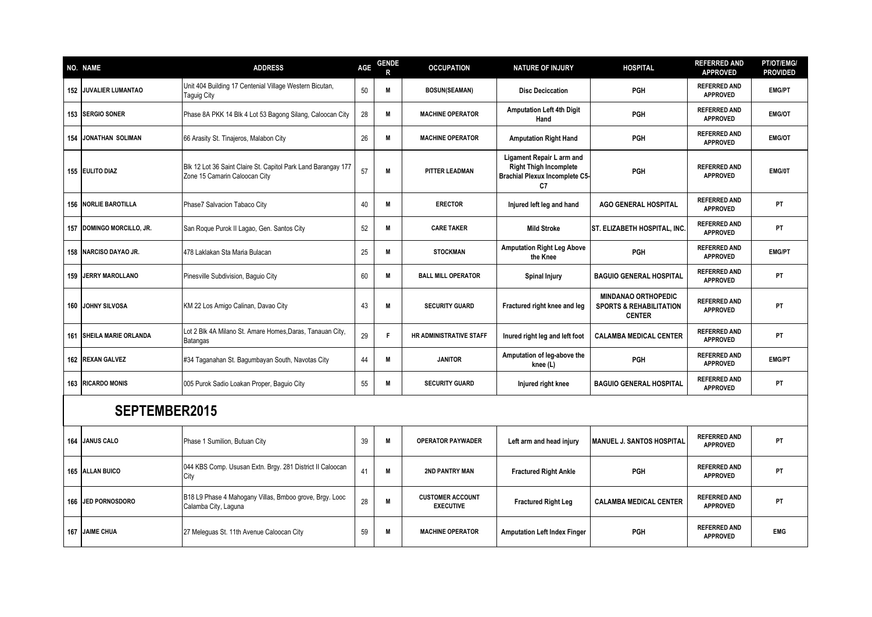| NO. NAME                        | <b>ADDRESS</b>                                                                                 | <b>AGE</b> | <b>GENDE</b> | <b>OCCUPATION</b>                           | <b>NATURE OF INJURY</b>                                                                                   | <b>HOSPITAL</b>                                                                   | <b>REFERRED AND</b><br><b>APPROVED</b> | PT/OT/EMG/<br><b>PROVIDED</b> |
|---------------------------------|------------------------------------------------------------------------------------------------|------------|--------------|---------------------------------------------|-----------------------------------------------------------------------------------------------------------|-----------------------------------------------------------------------------------|----------------------------------------|-------------------------------|
| 152 JUVALIER LUMANTAO           | Unit 404 Building 17 Centenial Village Western Bicutan,<br>Taguig City                         | 50         | M            | <b>BOSUN(SEAMAN)</b>                        | <b>Disc Deciccation</b>                                                                                   | PGH                                                                               | <b>REFERRED AND</b><br><b>APPROVED</b> | <b>EMG/PT</b>                 |
| 153 SERGIO SONER                | Phase 8A PKK 14 Blk 4 Lot 53 Bagong Silang, Caloocan City                                      | 28         | M            | <b>MACHINE OPERATOR</b>                     | <b>Amputation Left 4th Digit</b><br>Hand                                                                  | PGH                                                                               | <b>REFERRED AND</b><br><b>APPROVED</b> | <b>EMG/OT</b>                 |
| <b>154 JONATHAN SOLIMAN</b>     | 66 Arasity St. Tinajeros, Malabon City                                                         | 26         | M            | <b>MACHINE OPERATOR</b>                     | <b>Amputation Right Hand</b>                                                                              | <b>PGH</b>                                                                        | <b>REFERRED AND</b><br><b>APPROVED</b> | <b>EMG/OT</b>                 |
| <b>155 EULITO DIAZ</b>          | Blk 12 Lot 36 Saint Claire St. Capitol Park Land Barangay 177<br>Zone 15 Camarin Caloocan City | 57         | M            | <b>PITTER LEADMAN</b>                       | Ligament Repair L arm and<br><b>Right Thigh Incomplete</b><br><b>Brachial Plexux Incomplete C5-</b><br>C7 | PGH                                                                               | <b>REFERRED AND</b><br><b>APPROVED</b> | EMG/0T                        |
| <b>156   NORLIE BAROTILLA</b>   | Phase7 Salvacion Tabaco City                                                                   | 40         | M            | <b>ERECTOR</b>                              | Injured left leg and hand                                                                                 | <b>AGO GENERAL HOSPITAL</b>                                                       | <b>REFERRED AND</b><br><b>APPROVED</b> | PT                            |
| 157 DOMINGO MORCILLO, JR.       | San Roque Purok II Lagao, Gen. Santos City                                                     | 52         | M            | <b>CARE TAKER</b>                           | <b>Mild Stroke</b>                                                                                        | <b>ST. ELIZABETH HOSPITAL, INC.</b>                                               | <b>REFERRED AND</b><br><b>APPROVED</b> | PT                            |
| 158 NARCISO DAYAO JR.           | 478 Laklakan Sta Maria Bulacan                                                                 | 25         | M            | <b>STOCKMAN</b>                             | <b>Amputation Right Leg Above</b><br>the Knee                                                             | <b>PGH</b>                                                                        | <b>REFERRED AND</b><br><b>APPROVED</b> | <b>EMG/PT</b>                 |
| <b>159 IJERRY MAROLLANO</b>     | Pinesville Subdivision, Baguio City                                                            | 60         | M            | <b>BALL MILL OPERATOR</b>                   | <b>Spinal Injury</b>                                                                                      | <b>BAGUIO GENERAL HOSPITAL</b>                                                    | <b>REFERRED AND</b><br><b>APPROVED</b> | PT                            |
| <b>160 JOHNY SILVOSA</b>        | KM 22 Los Amigo Calinan, Davao City                                                            | 43         | M            | <b>SECURITY GUARD</b>                       | Fractured right knee and leg                                                                              | <b>MINDANAO ORTHOPEDIC</b><br><b>SPORTS &amp; REHABILITATION</b><br><b>CENTER</b> | <b>REFERRED AND</b><br><b>APPROVED</b> | PT                            |
| <b>161 SHEILA MARIE ORLANDA</b> | Lot 2 Blk 4A Milano St. Amare Homes, Daras, Tanauan City,<br><b>Batangas</b>                   | 29         | F            | HR ADMINISTRATIVE STAFF                     | Inured right leg and left foot                                                                            | <b>CALAMBA MEDICAL CENTER</b>                                                     | <b>REFERRED AND</b><br><b>APPROVED</b> | PT                            |
| 162 REXAN GALVEZ                | #34 Taganahan St. Bagumbayan South, Navotas City                                               | 44         | M            | <b>JANITOR</b>                              | Amputation of leg-above the<br>knee (L)                                                                   | PGH                                                                               | <b>REFERRED AND</b><br><b>APPROVED</b> | <b>EMG/PT</b>                 |
| 163 RICARDO MONIS               | 005 Purok Sadio Loakan Proper, Baguio City                                                     | 55         | M            | <b>SECURITY GUARD</b>                       | Injured right knee                                                                                        | <b>BAGUIO GENERAL HOSPITAL</b>                                                    | <b>REFERRED AND</b><br><b>APPROVED</b> | PT                            |
| SEPTEMBER2015                   |                                                                                                |            |              |                                             |                                                                                                           |                                                                                   |                                        |                               |
| 164 JANUS CALO                  | Phase 1 Sumilion, Butuan City                                                                  | 39         | M            | <b>OPERATOR PAYWADER</b>                    | Left arm and head injury                                                                                  | <b>MANUEL J. SANTOS HOSPITAL</b>                                                  | <b>REFERRED AND</b><br><b>APPROVED</b> | PT                            |
| 165 ALLAN BUICO                 | 044 KBS Comp. Ususan Extn. Brgy. 281 District II Caloocan<br>City                              | 41         | M            | 2ND PANTRY MAN                              | <b>Fractured Right Ankle</b>                                                                              | PGH                                                                               | <b>REFERRED AND</b><br><b>APPROVED</b> | PT                            |
| 166 JED PORNOSDORO              | B18 L9 Phase 4 Mahogany Villas, Bmboo grove, Brgy. Looc<br>Calamba City, Laguna                | 28         | M            | <b>CUSTOMER ACCOUNT</b><br><b>EXECUTIVE</b> | <b>Fractured Right Leg</b>                                                                                | <b>CALAMBA MEDICAL CENTER</b>                                                     | <b>REFERRED AND</b><br><b>APPROVED</b> | PT                            |
| 167 JAIME CHUA                  | 27 Meleguas St. 11th Avenue Caloocan City                                                      | 59         | M            | <b>MACHINE OPERATOR</b>                     | <b>Amputation Left Index Finger</b>                                                                       | <b>PGH</b>                                                                        | <b>REFERRED AND</b><br><b>APPROVED</b> | <b>EMG</b>                    |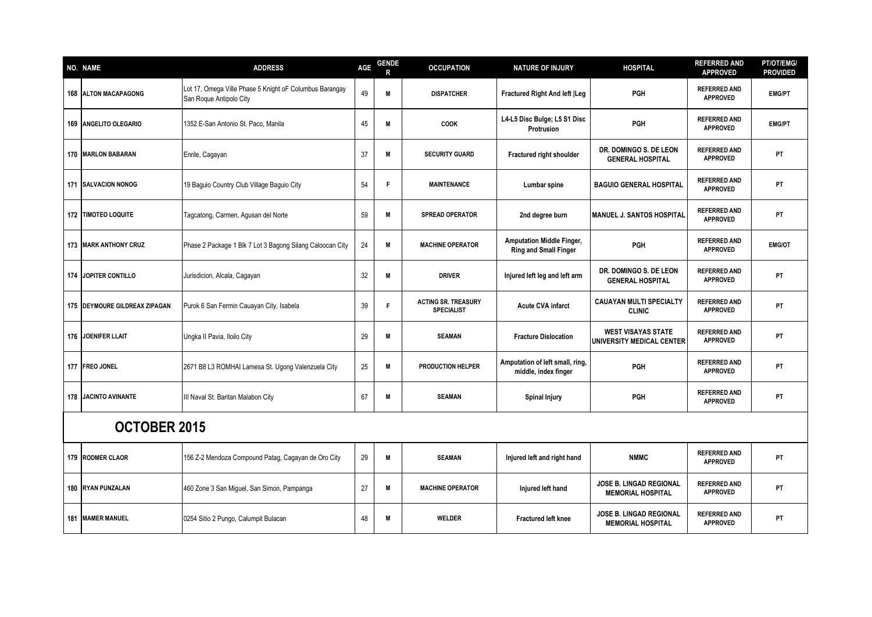| NO. NAME                        | <b>ADDRESS</b>                                                                     | AGE | <b>GENDE</b><br>R | <b>OCCUPATION</b>                               | <b>NATURE OF INJURY</b>                                          | <b>HOSPITAL</b>                                            | <b>REFERRED AND</b><br><b>APPROVED</b> | PT/OT/EMG/<br><b>PROVIDED</b> |
|---------------------------------|------------------------------------------------------------------------------------|-----|-------------------|-------------------------------------------------|------------------------------------------------------------------|------------------------------------------------------------|----------------------------------------|-------------------------------|
| <b>168 ALTON MACAPAGONG</b>     | Lot 17, Omega Ville Phase 5 Knight oF Columbus Barangay<br>San Roque Antipolo City | 49  | M                 | <b>DISPATCHER</b>                               | <b>Fractured Right And left  Leg</b>                             | PGH                                                        | <b>REFERRED AND</b><br><b>APPROVED</b> | <b>EMG/PT</b>                 |
| 169 ANGELITO OLEGARIO           | 1352 E-San Antonio St. Paco, Manila                                                | 45  | M                 | COOK                                            | L4-L5 Disc Bulge; L5 S1 Disc<br>Protrusion                       | PGH                                                        | <b>REFERRED AND</b><br><b>APPROVED</b> | <b>EMG/PT</b>                 |
| 170 MARLON BABARAN              | Enrile, Cagayan                                                                    | 37  | M                 | <b>SECURITY GUARD</b>                           | Fractured right shoulder                                         | DR. DOMINGO S. DE LEON<br><b>GENERAL HOSPITAL</b>          | <b>REFERRED AND</b><br><b>APPROVED</b> | PT                            |
| 171 SALVACION NONOG             | 19 Baguio Country Club Village Baguio City                                         | 54  | F                 | <b>MAINTENANCE</b>                              | Lumbar spine                                                     | <b>BAGUIO GENERAL HOSPITAL</b>                             | <b>REFERRED AND</b><br><b>APPROVED</b> | PT                            |
| <b>172   TIMOTEO LOQUITE</b>    | Tagcatong, Carmen, Agusan del Norte                                                | 59  | M                 | <b>SPREAD OPERATOR</b>                          | 2nd degree burn                                                  | <b>MANUEL J. SANTOS HOSPITAL</b>                           | <b>REFERRED AND</b><br><b>APPROVED</b> | PT                            |
| 173 MARK ANTHONY CRUZ           | Phase 2 Package 1 Blk 7 Lot 3 Bagong Silang Caloocan City                          | 24  | M                 | <b>MACHINE OPERATOR</b>                         | <b>Amputation Middle Finger,</b><br><b>Ring and Small Finger</b> | <b>PGH</b>                                                 | <b>REFERRED AND</b><br><b>APPROVED</b> | <b>EMG/OT</b>                 |
| 174 JOPITER CONTILLO            | Jurisdicion, Alcala, Cagayan                                                       | 32  | M                 | <b>DRIVER</b>                                   | Injured left leg and left arm                                    | DR. DOMINGO S. DE LEON<br><b>GENERAL HOSPITAL</b>          | <b>REFERRED AND</b><br><b>APPROVED</b> | PT                            |
| 175   DEYMOURE GILDREAX ZIPAGAN | Purok 6 San Fermin Cauayan City, Isabela                                           | 39  | F                 | <b>ACTING SR. TREASURY</b><br><b>SPECIALIST</b> | <b>Acute CVA infarct</b>                                         | <b>CAUAYAN MULTI SPECIALTY</b><br><b>CLINIC</b>            | <b>REFERRED AND</b><br><b>APPROVED</b> | PT                            |
| 176 JOENIFER LLAIT              | Ungka II Pavia, Iloilo City                                                        | 29  | M                 | <b>SEAMAN</b>                                   | <b>Fracture Dislocation</b>                                      | <b>WEST VISAYAS STATE</b><br>UNIVERSITY MEDICAL CENTER     | <b>REFERRED AND</b><br><b>APPROVED</b> | PT                            |
| 177 FREO JONEL                  | 2671 B8 L3 ROMHAI Lamesa St. Ugong Valenzuela City                                 | 25  | M                 | <b>PRODUCTION HELPER</b>                        | Amputation of left small, ring,<br>middle, index finger          | PGH                                                        | <b>REFERRED AND</b><br><b>APPROVED</b> | PT                            |
| 178 JACINTO AVINANTE            | III Naval St. Baritan Malabon City                                                 | 67  | M                 | <b>SEAMAN</b>                                   | <b>Spinal Injury</b>                                             | PGH                                                        | <b>REFERRED AND</b><br><b>APPROVED</b> | PT                            |
| <b>OCTOBER 2015</b>             |                                                                                    |     |                   |                                                 |                                                                  |                                                            |                                        |                               |
| 179 RODMER CLAOR                | 156 Z-2 Mendoza Compound Patag, Cagayan de Oro City                                | 29  | M                 | <b>SEAMAN</b>                                   | Injured left and right hand                                      | <b>NMMC</b>                                                | <b>REFERRED AND</b><br><b>APPROVED</b> | PT                            |
| 180 RYAN PUNZALAN               | 460 Zone 3 San Miguel, San Simon, Pampanga                                         | 27  | M                 | <b>MACHINE OPERATOR</b>                         | Injured left hand                                                | <b>JOSE B. LINGAD REGIONAL</b><br><b>MEMORIAL HOSPITAL</b> | <b>REFERRED AND</b><br><b>APPROVED</b> | PT                            |
| 181 MAMER MANUEL                | 0254 Sitio 2 Pungo, Calumpit Bulacan                                               | 48  | M                 | <b>WELDER</b>                                   | <b>Fractured left knee</b>                                       | <b>JOSE B. LINGAD REGIONAL</b><br><b>MEMORIAL HOSPITAL</b> | <b>REFERRED AND</b><br><b>APPROVED</b> | PT                            |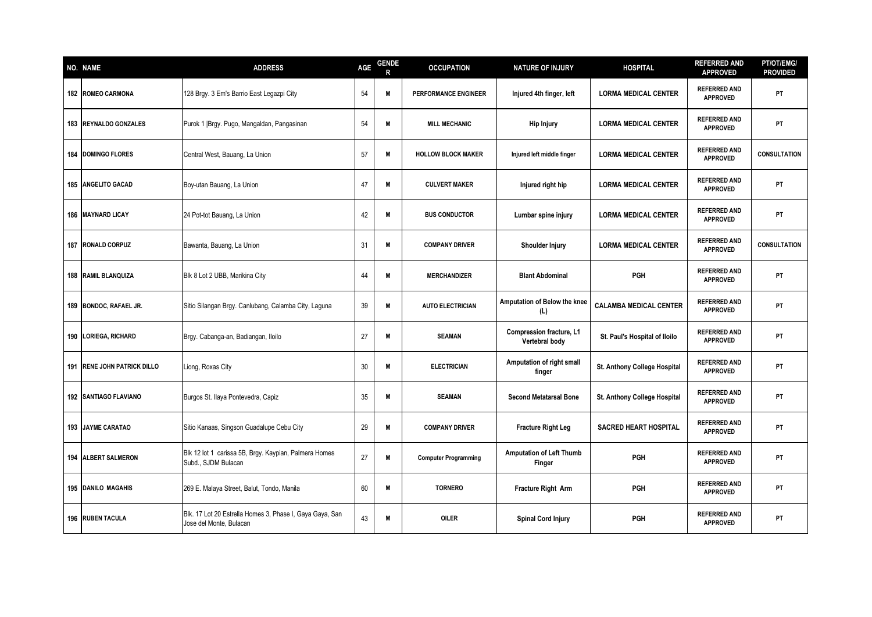| <b>NO. NAME</b>              | <b>ADDRESS</b>                                                                      | AGE | <b>GENDE</b> | <b>OCCUPATION</b>           | <b>NATURE OF INJURY</b>                           | <b>HOSPITAL</b>               | <b>REFERRED AND</b><br><b>APPROVED</b> | PT/OT/EMG/<br><b>PROVIDED</b> |
|------------------------------|-------------------------------------------------------------------------------------|-----|--------------|-----------------------------|---------------------------------------------------|-------------------------------|----------------------------------------|-------------------------------|
| <b>182 ROMEO CARMONA</b>     | 128 Brgy. 3 Em's Barrio East Legazpi City                                           | 54  | M            | <b>PERFORMANCE ENGINEER</b> | Injured 4th finger, left                          | <b>LORMA MEDICAL CENTER</b>   | <b>REFERRED AND</b><br><b>APPROVED</b> | PT                            |
| 183 REYNALDO GONZALES        | Purok 1   Brgy. Pugo, Mangaldan, Pangasinan                                         | 54  | M            | <b>MILL MECHANIC</b>        | <b>Hip Injury</b>                                 | <b>LORMA MEDICAL CENTER</b>   | <b>REFERRED AND</b><br><b>APPROVED</b> | PT                            |
| <b>184 DOMINGO FLORES</b>    | Central West, Bauang, La Union                                                      | 57  | M            | <b>HOLLOW BLOCK MAKER</b>   | Injured left middle finger                        | <b>LORMA MEDICAL CENTER</b>   | <b>REFERRED AND</b><br><b>APPROVED</b> | <b>CONSULTATION</b>           |
| 185 ANGELITO GACAD           | Boy-utan Bauang, La Union                                                           | 47  | M            | <b>CULVERT MAKER</b>        | Injured right hip                                 | <b>LORMA MEDICAL CENTER</b>   | <b>REFERRED AND</b><br><b>APPROVED</b> | PT                            |
| <b>186 MAYNARD LICAY</b>     | 24 Pot-tot Bauang, La Union                                                         | 42  | M            | <b>BUS CONDUCTOR</b>        | Lumbar spine injury                               | <b>LORMA MEDICAL CENTER</b>   | <b>REFERRED AND</b><br><b>APPROVED</b> | PT                            |
| 187 RONALD CORPUZ            | Bawanta, Bauang, La Union                                                           | 31  | M            | <b>COMPANY DRIVER</b>       | Shoulder Injury                                   | <b>LORMA MEDICAL CENTER</b>   | <b>REFERRED AND</b><br><b>APPROVED</b> | <b>CONSULTATION</b>           |
| 188 RAMIL BLANQUIZA          | Blk 8 Lot 2 UBB, Marikina City                                                      | 44  | M            | <b>MERCHANDIZER</b>         | <b>Blant Abdominal</b>                            | PGH                           | <b>REFERRED AND</b><br><b>APPROVED</b> | PT                            |
| 189 BONDOC, RAFAEL JR.       | Sitio Silangan Brgy. Canlubang, Calamba City, Laguna                                | 39  | M            | <b>AUTO ELECTRICIAN</b>     | Amputation of Below the knee<br>(L)               | <b>CALAMBA MEDICAL CENTER</b> | <b>REFERRED AND</b><br><b>APPROVED</b> | PT                            |
| 190 LORIEGA, RICHARD         | Brgy. Cabanga-an, Badiangan, Iloilo                                                 | 27  | M            | <b>SEAMAN</b>               | <b>Compression fracture, L1</b><br>Vertebral body | St. Paul's Hospital of Iloilo | <b>REFERRED AND</b><br><b>APPROVED</b> | PT                            |
| 191 IRENE JOHN PATRICK DILLO | Liong, Roxas City                                                                   | 30  | M            | <b>ELECTRICIAN</b>          | Amputation of right small<br>finger               | St. Anthony College Hospital  | <b>REFERRED AND</b><br><b>APPROVED</b> | PT                            |
| <b>192 SANTIAGO FLAVIANO</b> | Burgos St. Ilaya Pontevedra, Capiz                                                  | 35  | M            | <b>SEAMAN</b>               | <b>Second Metatarsal Bone</b>                     | St. Anthony College Hospital  | <b>REFERRED AND</b><br><b>APPROVED</b> | PT                            |
| <b>193 JAYME CARATAO</b>     | Sitio Kanaas, Singson Guadalupe Cebu City                                           | 29  | M            | <b>COMPANY DRIVER</b>       | <b>Fracture Right Leg</b>                         | <b>SACRED HEART HOSPITAL</b>  | <b>REFERRED AND</b><br><b>APPROVED</b> | PT.                           |
| <b>194 ALBERT SALMERON</b>   | Blk 12 lot 1 carissa 5B, Brgy. Kaypian, Palmera Homes<br>Subd., SJDM Bulacan        | 27  | M            | <b>Computer Programming</b> | <b>Amputation of Left Thumb</b><br>Finger         | <b>PGH</b>                    | <b>REFERRED AND</b><br><b>APPROVED</b> | <b>PT</b>                     |
| 195 DANILO MAGAHIS           | 269 E. Malaya Street, Balut, Tondo, Manila                                          | 60  | M            | <b>TORNERO</b>              | Fracture Right Arm                                | PGH                           | <b>REFERRED AND</b><br><b>APPROVED</b> | PT                            |
| 196 RUBEN TACULA             | Blk. 17 Lot 20 Estrella Homes 3, Phase I, Gaya Gaya, San<br>Jose del Monte, Bulacan | 43  | M            | <b>OILER</b>                | <b>Spinal Cord Injury</b>                         | <b>PGH</b>                    | <b>REFERRED AND</b><br><b>APPROVED</b> | PT                            |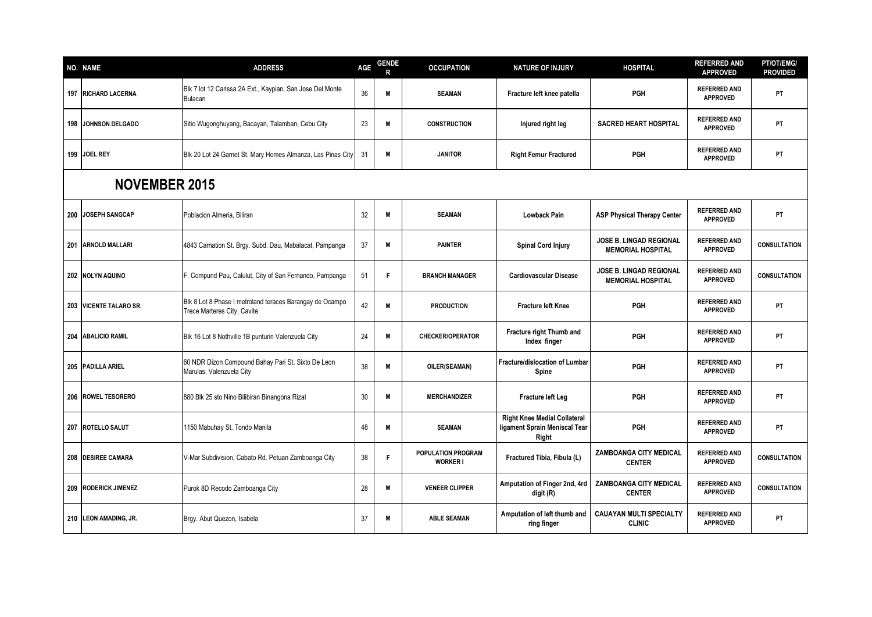| NO. NAME                   | <b>ADDRESS</b>                                                                          | AGE | <b>GENDE</b> | <b>OCCUPATION</b>                            | <b>NATURE OF INJURY</b>                                                       | <b>HOSPITAL</b>                                            | <b>REFERRED AND</b><br><b>APPROVED</b> | PT/OT/EMG/<br><b>PROVIDED</b> |
|----------------------------|-----------------------------------------------------------------------------------------|-----|--------------|----------------------------------------------|-------------------------------------------------------------------------------|------------------------------------------------------------|----------------------------------------|-------------------------------|
| <b>197 RICHARD LACERNA</b> | Blk 7 lot 12 Carissa 2A Ext., Kaypian, San Jose Del Monte<br><b>Bulacan</b>             | 36  | M            | <b>SEAMAN</b>                                | Fracture left knee patella                                                    | <b>PGH</b>                                                 | <b>REFERRED AND</b><br><b>APPROVED</b> | PT                            |
| <b>198 JOHNSON DELGADO</b> | Sitio Wugonghuyang, Bacayan, Talamban, Cebu City                                        | 23  | M            | <b>CONSTRUCTION</b>                          | Injured right leg                                                             | <b>SACRED HEART HOSPITAL</b>                               | <b>REFERRED AND</b><br><b>APPROVED</b> | PT                            |
| 199 JOEL REY               | Blk 20 Lot 24 Garnet St. Mary Homes Almanza, Las Pinas City                             | 31  | M            | <b>JANITOR</b>                               | <b>Right Femur Fractured</b>                                                  | PGH                                                        | <b>REFERRED AND</b><br><b>APPROVED</b> | PT                            |
| <b>NOVEMBER 2015</b>       |                                                                                         |     |              |                                              |                                                                               |                                                            |                                        |                               |
| 200 JOSEPH SANGCAP         | Poblacion Almeria, Biliran                                                              | 32  | M            | <b>SEAMAN</b>                                | <b>Lowback Pain</b>                                                           | <b>ASP Physical Therapy Center</b>                         | <b>REFERRED AND</b><br><b>APPROVED</b> | PT                            |
| 201 ARNOLD MALLARI         | 4843 Carnation St. Brgy. Subd. Dau, Mabalacat, Pampanga                                 | 37  | M            | <b>PAINTER</b>                               | <b>Spinal Cord Injury</b>                                                     | JOSE B. LINGAD REGIONAL<br><b>MEMORIAL HOSPITAL</b>        | <b>REFERRED AND</b><br><b>APPROVED</b> | <b>CONSULTATION</b>           |
| 202 NOLYN AQUINO           | F. Compund Pau, Calulut, City of San Fernando, Pampanga                                 | 51  | F            | <b>BRANCH MANAGER</b>                        | <b>Cardiovascular Disease</b>                                                 | <b>JOSE B. LINGAD REGIONAL</b><br><b>MEMORIAL HOSPITAL</b> | <b>REFERRED AND</b><br><b>APPROVED</b> | <b>CONSULTATION</b>           |
| 203 VICENTE TALARO SR.     | Blk 8 Lot 8 Phase I metroland teraces Barangay de Ocampo<br>Trece Marteres City, Cavite | 42  | M            | <b>PRODUCTION</b>                            | <b>Fracture left Knee</b>                                                     | <b>PGH</b>                                                 | <b>REFERRED AND</b><br><b>APPROVED</b> | PT                            |
| 204 ABALICIO RAMIL         | Blk 16 Lot 8 Nothville 1B punturin Valenzuela City                                      | 24  | M            | <b>CHECKER/OPERATOR</b>                      | Fracture right Thumb and<br>Index finger                                      | PGH                                                        | <b>REFERRED AND</b><br><b>APPROVED</b> | PT                            |
| 205 PADILLA ARIEL          | 60 NDR Dizon Compound Bahay Pari St. Sixto De Leon<br>Marulas, Valenzuela City          | 38  | M            | OILER(SEAMAN)                                | <b>Fracture/dislocation of Lumbar</b><br>Spine                                | PGH                                                        | <b>REFERRED AND</b><br><b>APPROVED</b> | PT                            |
| 206 ROWEL TESORERO         | 880 Blk 25 sto Nino Bilibiran Binangona Rizal                                           | 30  | M            | <b>MERCHANDIZER</b>                          | Fracture left Leg                                                             | PGH                                                        | <b>REFERRED AND</b><br><b>APPROVED</b> | PT                            |
| 207 ROTELLO SALUT          | 1150 Mabuhay St. Tondo Manila                                                           | 48  | M            | <b>SEAMAN</b>                                | <b>Right Knee Medial Collateral</b><br>ligament Sprain Meniscal Tear<br>Right | <b>PGH</b>                                                 | <b>REFERRED AND</b><br><b>APPROVED</b> | PT                            |
| 208 DESIREE CAMARA         | V-Mar Subdivision, Cabato Rd. Petuan Zamboanga City                                     | 38  | F            | <b>POPULATION PROGRAM</b><br><b>WORKER I</b> | Fractured Tibia, Fibula (L)                                                   | ZAMBOANGA CITY MEDICAL<br><b>CENTER</b>                    | <b>REFERRED AND</b><br><b>APPROVED</b> | <b>CONSULTATION</b>           |
| 209 RODERICK JIMENEZ       | Purok 8D Recodo Zamboanga City                                                          | 28  | M            | <b>VENEER CLIPPER</b>                        | Amputation of Finger 2nd, 4rd<br>digit (R)                                    | ZAMBOANGA CITY MEDICAL<br><b>CENTER</b>                    | <b>REFERRED AND</b><br><b>APPROVED</b> | <b>CONSULTATION</b>           |
| 210 LEON AMADING, JR.      | Brgy. Abut Quezon, Isabela                                                              | 37  | M            | <b>ABLE SEAMAN</b>                           | Amputation of left thumb and<br>ring finger                                   | <b>CAUAYAN MULTI SPECIALTY</b><br><b>CLINIC</b>            | <b>REFERRED AND</b><br><b>APPROVED</b> | PT                            |